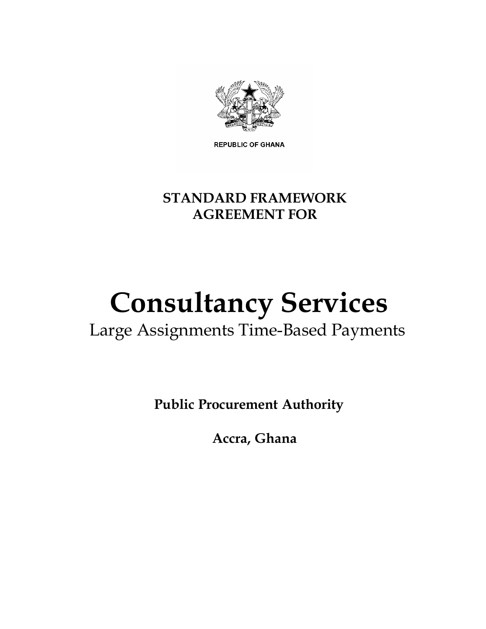

**REPUBLIC OF GHANA** 

## **STANDARD FRAMEWORK AGREEMENT FOR**

# **Consultancy Services**

## Large Assignments Time-Based Payments

**Public Procurement Authority**

**Accra, Ghana**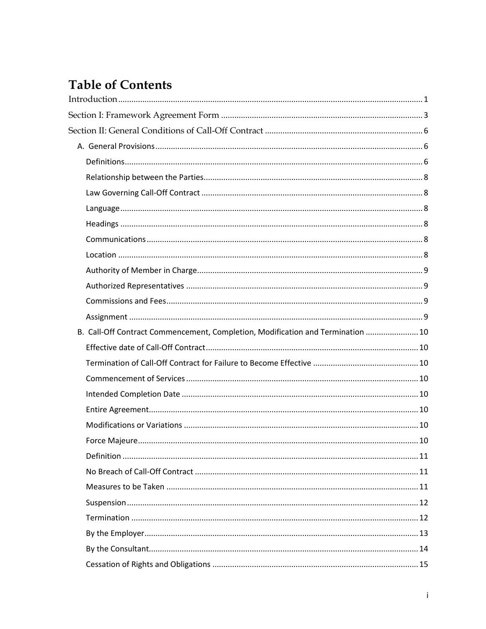## **Table of Contents**

| B. Call-Off Contract Commencement, Completion, Modification and Termination  10 |  |
|---------------------------------------------------------------------------------|--|
|                                                                                 |  |
|                                                                                 |  |
|                                                                                 |  |
|                                                                                 |  |
|                                                                                 |  |
|                                                                                 |  |
|                                                                                 |  |
|                                                                                 |  |
|                                                                                 |  |
|                                                                                 |  |
|                                                                                 |  |
|                                                                                 |  |
|                                                                                 |  |
|                                                                                 |  |
|                                                                                 |  |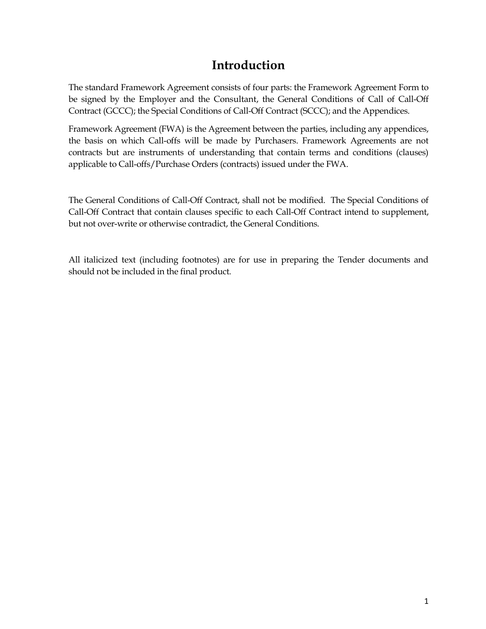## **Introduction**

<span id="page-4-0"></span>The standard Framework Agreement consists of four parts: the Framework Agreement Form to be signed by the Employer and the Consultant, the General Conditions of Call of Call-Off Contract (GCCC); the Special Conditions of Call-Off Contract (SCCC); and the Appendices.

Framework Agreement (FWA) is the Agreement between the parties, including any appendices, the basis on which Call-offs will be made by Purchasers. Framework Agreements are not contracts but are instruments of understanding that contain terms and conditions (clauses) applicable to Call-offs/Purchase Orders (contracts) issued under the FWA.

The General Conditions of Call-Off Contract, shall not be modified. The Special Conditions of Call-Off Contract that contain clauses specific to each Call-Off Contract intend to supplement, but not over-write or otherwise contradict, the General Conditions.

All italicized text (including footnotes) are for use in preparing the Tender documents and should not be included in the final product.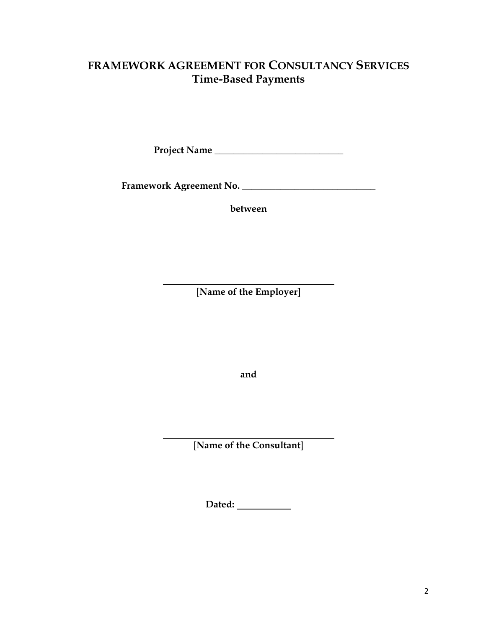## **FRAMEWORK AGREEMENT FOR CONSULTANCY SERVICES Time-Based Payments**

**Project Name** \_\_\_\_\_\_\_\_\_\_\_\_\_\_\_\_\_\_\_\_\_\_\_\_\_\_\_

**Framework Agreement No.** \_\_\_\_\_\_\_\_\_\_\_\_\_\_\_\_\_\_\_\_\_\_\_\_\_\_\_\_

**between**

[**Name of the Employer]**

**and**

[**Name of the Consultant**]

**Dated:**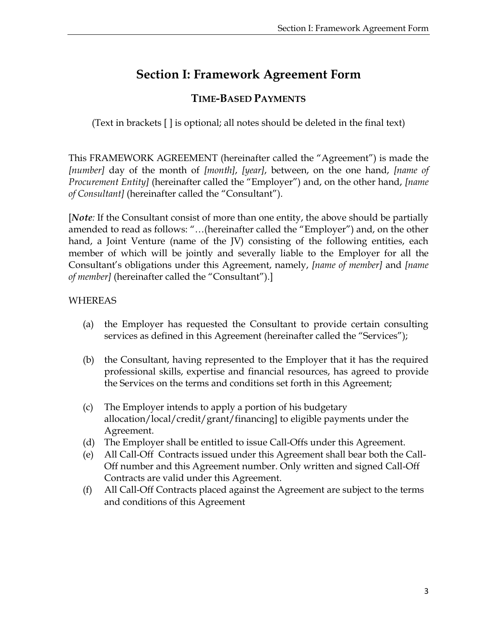## **Section I: Framework Agreement Form**

### **TIME-BASED PAYMENTS**

<span id="page-6-0"></span>(Text in brackets [ ] is optional; all notes should be deleted in the final text)

This FRAMEWORK AGREEMENT (hereinafter called the "Agreement") is made the *[number]* day of the month of *[month]*, *[year]*, between, on the one hand, *[name of Procurement Entity]* (hereinafter called the "Employer") and, on the other hand, *[name of Consultant]* (hereinafter called the "Consultant").

[*Note:* If the Consultant consist of more than one entity, the above should be partially amended to read as follows: "…(hereinafter called the "Employer") and, on the other hand, a Joint Venture (name of the JV) consisting of the following entities, each member of which will be jointly and severally liable to the Employer for all the Consultant's obligations under this Agreement, namely, *[name of member]* and *[name of member]* (hereinafter called the "Consultant").]

#### WHEREAS

- (a) the Employer has requested the Consultant to provide certain consulting services as defined in this Agreement (hereinafter called the "Services");
- (b) the Consultant, having represented to the Employer that it has the required professional skills, expertise and financial resources, has agreed to provide the Services on the terms and conditions set forth in this Agreement;
- (c) The Employer intends to apply a portion of his budgetary allocation/local/credit/grant/financing] to eligible payments under the Agreement.
- (d) The Employer shall be entitled to issue Call-Offs under this Agreement.
- (e) All Call-Off Contracts issued under this Agreement shall bear both the Call-Off number and this Agreement number. Only written and signed Call-Off Contracts are valid under this Agreement.
- (f) All Call-Off Contracts placed against the Agreement are subject to the terms and conditions of this Agreement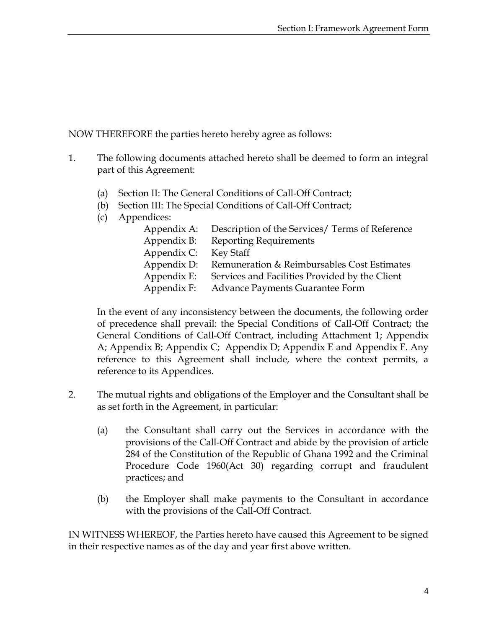NOW THEREFORE the parties hereto hereby agree as follows:

- 1. The following documents attached hereto shall be deemed to form an integral part of this Agreement:
	- (a) Section II: The General Conditions of Call-Off Contract;
	- (b) Section III: The Special Conditions of Call-Off Contract;
	- (c) Appendices:

| Appendix A: | Description of the Services/ Terms of Reference |
|-------------|-------------------------------------------------|
| Appendix B: | <b>Reporting Requirements</b>                   |
| Appendix C: | Key Staff                                       |
| Appendix D: | Remuneration & Reimbursables Cost Estimates     |
| Appendix E: | Services and Facilities Provided by the Client  |
| Appendix F: | Advance Payments Guarantee Form                 |
|             |                                                 |

In the event of any inconsistency between the documents, the following order of precedence shall prevail: the Special Conditions of Call-Off Contract; the General Conditions of Call-Off Contract, including Attachment 1; Appendix A; Appendix B; Appendix C; Appendix D; Appendix E and Appendix F. Any reference to this Agreement shall include, where the context permits, a reference to its Appendices.

- 2. The mutual rights and obligations of the Employer and the Consultant shall be as set forth in the Agreement, in particular:
	- (a) the Consultant shall carry out the Services in accordance with the provisions of the Call-Off Contract and abide by the provision of article 284 of the Constitution of the Republic of Ghana 1992 and the Criminal Procedure Code 1960(Act 30) regarding corrupt and fraudulent practices; and
	- (b) the Employer shall make payments to the Consultant in accordance with the provisions of the Call-Off Contract.

IN WITNESS WHEREOF, the Parties hereto have caused this Agreement to be signed in their respective names as of the day and year first above written.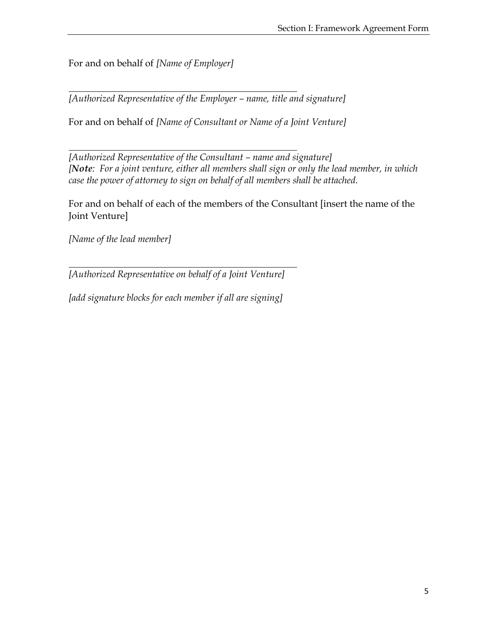For and on behalf of *[Name of Employer]*

*[Authorized Representative of the Employer – name, title and signature]*

For and on behalf of *[Name of Consultant or Name of a Joint Venture]*

*[Authorized Representative of the Consultant – name and signature] [Note: For a joint venture, either all members shall sign or only the lead member, in which case the power of attorney to sign on behalf of all members shall be attached.* 

For and on behalf of each of the members of the Consultant [insert the name of the Joint Venture]

*[Name of the lead member]*

*[Authorized Representative on behalf of a Joint Venture]*

*[add signature blocks for each member if all are signing]*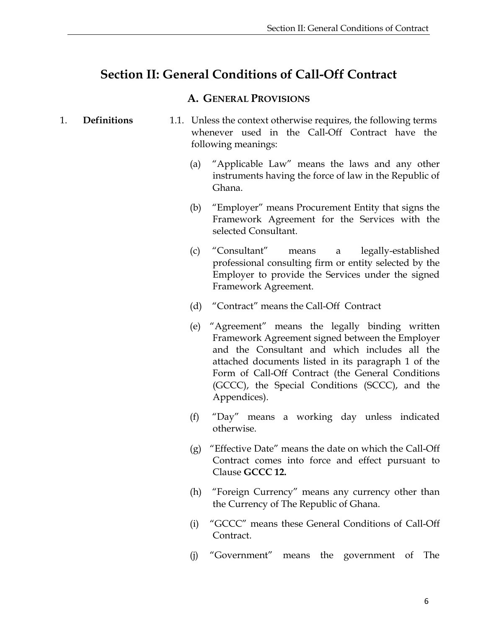## <span id="page-9-0"></span>**Section II: General Conditions of Call-Off Contract**

#### **A. GENERAL PROVISIONS**

- <span id="page-9-2"></span><span id="page-9-1"></span>1. **Definitions** 1.1. Unless the context otherwise requires, the following terms whenever used in the Call-Off Contract have the following meanings:
	- (a) "Applicable Law" means the laws and any other instruments having the force of law in the Republic of Ghana.
	- (b) "Employer" means Procurement Entity that signs the Framework Agreement for the Services with the selected Consultant.
	- (c) "Consultant" means a legally-established professional consulting firm or entity selected by the Employer to provide the Services under the signed Framework Agreement.
	- (d) "Contract" means the Call-Off Contract
	- (e) "Agreement" means the legally binding written Framework Agreement signed between the Employer and the Consultant and which includes all the attached documents listed in its paragraph 1 of the Form of Call-Off Contract (the General Conditions (GCCC), the Special Conditions (SCCC), and the Appendices).
	- (f) "Day" means a working day unless indicated otherwise.
	- (g) "Effective Date" means the date on which the Call-Off Contract comes into force and effect pursuant to Clause **GCCC 12.**
	- (h) "Foreign Currency" means any currency other than the Currency of The Republic of Ghana.
	- (i) "GCCC" means these General Conditions of Call-Off Contract.
	- (j) "Government" means the government of The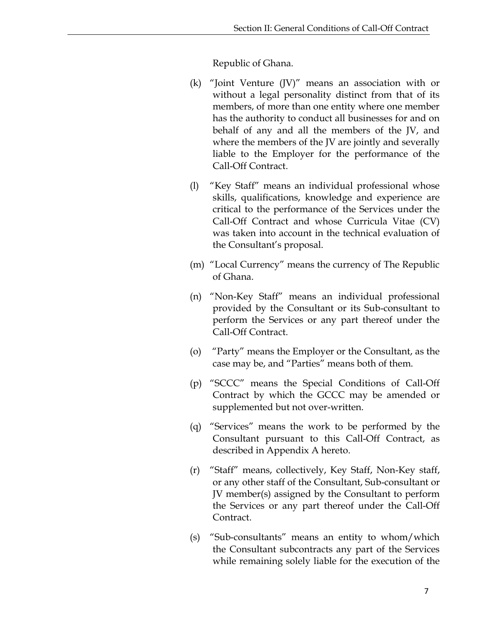Republic of Ghana.

- (k) "Joint Venture (JV)" means an association with or without a legal personality distinct from that of its members, of more than one entity where one member has the authority to conduct all businesses for and on behalf of any and all the members of the JV, and where the members of the JV are jointly and severally liable to the Employer for the performance of the Call-Off Contract.
- (l) "Key Staff" means an individual professional whose skills, qualifications, knowledge and experience are critical to the performance of the Services under the Call-Off Contract and whose Curricula Vitae (CV) was taken into account in the technical evaluation of the Consultant's proposal.
- (m) "Local Currency" means the currency of The Republic of Ghana.
- (n) "Non-Key Staff" means an individual professional provided by the Consultant or its Sub-consultant to perform the Services or any part thereof under the Call-Off Contract.
- (o) "Party" means the Employer or the Consultant, as the case may be, and "Parties" means both of them.
- (p) "SCCC" means the Special Conditions of Call-Off Contract by which the GCCC may be amended or supplemented but not over-written.
- (q) "Services" means the work to be performed by the Consultant pursuant to this Call-Off Contract, as described in Appendix A hereto.
- (r) "Staff" means, collectively, Key Staff, Non-Key staff, or any other staff of the Consultant, Sub-consultant or JV member(s) assigned by the Consultant to perform the Services or any part thereof under the Call-Off Contract.
- (s) "Sub-consultants" means an entity to whom/which the Consultant subcontracts any part of the Services while remaining solely liable for the execution of the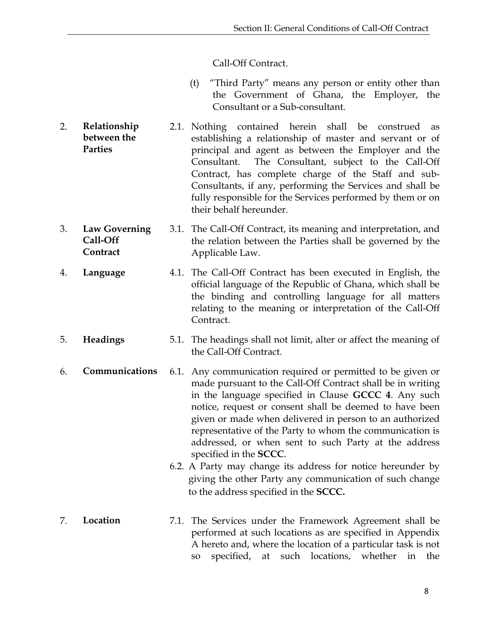#### Call-Off Contract.

- (t) "Third Party" means any person or entity other than the Government of Ghana, the Employer, the Consultant or a Sub-consultant.
- <span id="page-11-0"></span>2. **Relationship between the Parties** 2.1. Nothing contained herein shall be construed as establishing a relationship of master and servant or of principal and agent as between the Employer and the Consultant. The Consultant, subject to the Call-Off Contract, has complete charge of the Staff and sub-Consultants, if any, performing the Services and shall be fully responsible for the Services performed by them or on their behalf hereunder.
- <span id="page-11-1"></span>3. **Law Governing Call-Off Contract** 3.1. The Call-Off Contract, its meaning and interpretation, and the relation between the Parties shall be governed by the Applicable Law.
- <span id="page-11-2"></span>4. **Language** 4.1. The Call-Off Contract has been executed in English, the official language of the Republic of Ghana, which shall be the binding and controlling language for all matters relating to the meaning or interpretation of the Call-Off Contract.
- <span id="page-11-3"></span>5. **Headings** 5.1. The headings shall not limit, alter or affect the meaning of the Call-Off Contract.
- <span id="page-11-4"></span>6. **Communications** 6.1. Any communication required or permitted to be given or made pursuant to the Call-Off Contract shall be in writing in the language specified in Clause **GCCC 4**. Any such notice, request or consent shall be deemed to have been given or made when delivered in person to an authorized representative of the Party to whom the communication is addressed, or when sent to such Party at the address specified in the **SCCC**.
	- 6.2. A Party may change its address for notice hereunder by giving the other Party any communication of such change to the address specified in the **SCCC.**
- <span id="page-11-5"></span>7. **Location** 7.1. The Services under the Framework Agreement shall be performed at such locations as are specified in Appendix A hereto and, where the location of a particular task is not so specified, at such locations, whether in the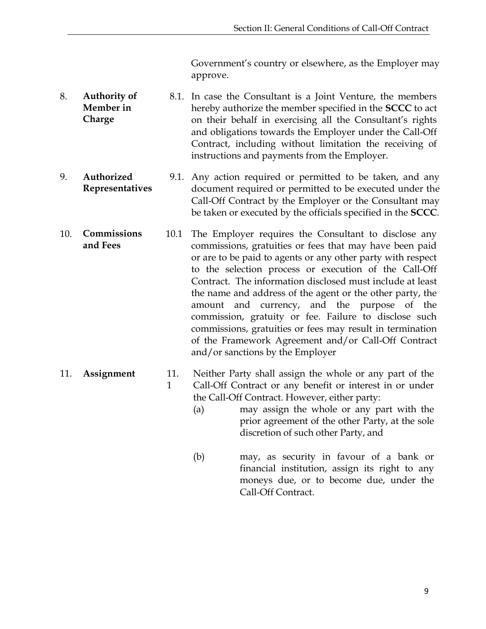Government's country or elsewhere, as the Employer may approve.

- <span id="page-12-0"></span>8. **Authority of Member in Charge** 8.1. In case the Consultant is a Joint Venture, the members hereby authorize the member specified in the **SCCC** to act on their behalf in exercising all the Consultant's rights and obligations towards the Employer under the Call-Off Contract, including without limitation the receiving of instructions and payments from the Employer.
- <span id="page-12-1"></span>9. **Authorized Representatives** 9.1. Any action required or permitted to be taken, and any document required or permitted to be executed under the Call-Off Contract by the Employer or the Consultant may be taken or executed by the officials specified in the **SCCC**.
- <span id="page-12-2"></span>10. **Commissions and Fees** 10.1 The Employer requires the Consultant to disclose any commissions, gratuities or fees that may have been paid or are to be paid to agents or any other party with respect to the selection process or execution of the Call-Off Contract. The information disclosed must include at least the name and address of the agent or the other party, the amount and currency, and the purpose of the commission, gratuity or fee. Failure to disclose such commissions, gratuities or fees may result in termination of the Framework Agreement and/or Call-Off Contract and/or sanctions by the Employer
- <span id="page-12-3"></span>11. **Assignment** 11. 1 Neither Party shall assign the whole or any part of the Call-Off Contract or any benefit or interest in or under the Call-Off Contract. However, either party:
	- (a) may assign the whole or any part with the prior agreement of the other Party, at the sole discretion of such other Party, and
	- (b) may, as security in favour of a bank or financial institution, assign its right to any moneys due, or to become due, under the Call-Off Contract.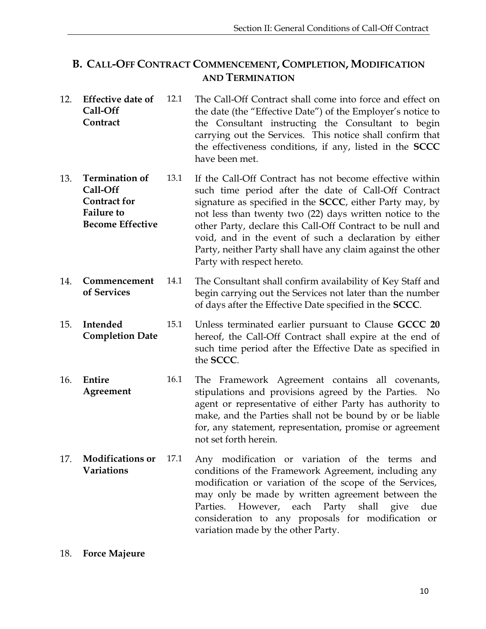#### <span id="page-13-0"></span>**B. CALL-OFF CONTRACT COMMENCEMENT, COMPLETION, MODIFICATION AND TERMINATION**

- <span id="page-13-1"></span>12. **Effective date of Call-Off Contract** 12.1 The Call-Off Contract shall come into force and effect on the date (the "Effective Date") of the Employer's notice to the Consultant instructing the Consultant to begin carrying out the Services. This notice shall confirm that the effectiveness conditions, if any, listed in the **SCCC** have been met.
- <span id="page-13-2"></span>13. **Termination of Call-Off Contract for Failure to Become Effective** 13.1 If the Call-Off Contract has not become effective within such time period after the date of Call-Off Contract signature as specified in the **SCCC**, either Party may, by not less than twenty two (22) days written notice to the other Party, declare this Call-Off Contract to be null and void, and in the event of such a declaration by either Party, neither Party shall have any claim against the other Party with respect hereto.
- <span id="page-13-3"></span>14. **Commencement of Services** 14.1 The Consultant shall confirm availability of Key Staff and begin carrying out the Services not later than the number of days after the Effective Date specified in the **SCCC**.
- <span id="page-13-4"></span>15. **Intended Completion Date** 15.1 Unless terminated earlier pursuant to Clause **GCCC 20** hereof, the Call-Off Contract shall expire at the end of such time period after the Effective Date as specified in the **SCCC**.
- <span id="page-13-5"></span>16. **Entire Agreement** 16.1 The Framework Agreement contains all covenants, stipulations and provisions agreed by the Parties. No agent or representative of either Party has authority to make, and the Parties shall not be bound by or be liable for, any statement, representation, promise or agreement not set forth herein.
- <span id="page-13-6"></span>17. **Modifications or Variations** 17.1 Any modification or variation of the terms and conditions of the Framework Agreement, including any modification or variation of the scope of the Services, may only be made by written agreement between the Parties. However, each Party shall give due consideration to any proposals for modification or variation made by the other Party.

#### <span id="page-13-7"></span>18. **Force Majeure**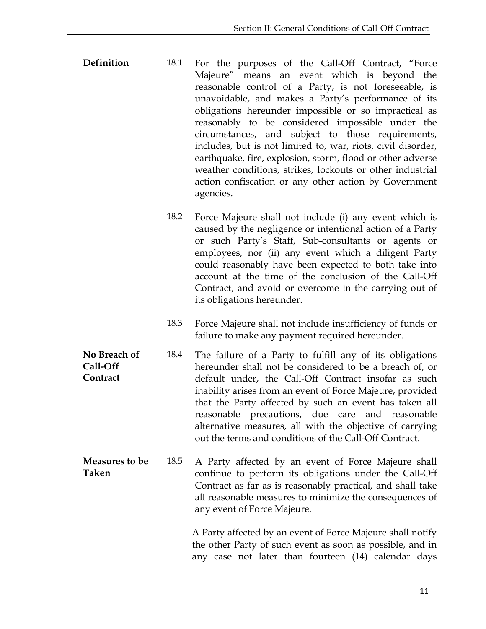<span id="page-14-0"></span>

| Definition | 18.1 | For the purposes of the Call-Off Contract, "Force            |
|------------|------|--------------------------------------------------------------|
|            |      | Majeure" means an event which is beyond the                  |
|            |      | reasonable control of a Party, is not foreseeable, is        |
|            |      | unavoidable, and makes a Party's performance of its          |
|            |      | obligations hereunder impossible or so impractical as        |
|            |      | reasonably to be considered impossible under the             |
|            |      | circumstances, and subject to those requirements,            |
|            |      | includes, but is not limited to, war, riots, civil disorder, |
|            |      | earthquake, fire, explosion, storm, flood or other adverse   |
|            |      | weather conditions, strikes, lockouts or other industrial    |
|            |      | action confiscation or any other action by Government        |
|            |      | agencies.                                                    |

- 18.2 Force Majeure shall not include (i) any event which is caused by the negligence or intentional action of a Party or such Party's Staff, Sub-consultants or agents or employees, nor (ii) any event which a diligent Party could reasonably have been expected to both take into account at the time of the conclusion of the Call-Off Contract, and avoid or overcome in the carrying out of its obligations hereunder.
- 18.3 Force Majeure shall not include insufficiency of funds or failure to make any payment required hereunder.
- <span id="page-14-1"></span>**No Breach of Call-Off Contract** 18.4 The failure of a Party to fulfill any of its obligations hereunder shall not be considered to be a breach of, or default under, the Call-Off Contract insofar as such inability arises from an event of Force Majeure, provided that the Party affected by such an event has taken all reasonable precautions, due care and reasonable alternative measures, all with the objective of carrying out the terms and conditions of the Call-Off Contract.
- <span id="page-14-2"></span>**Measures to be Taken** 18.5 A Party affected by an event of Force Majeure shall continue to perform its obligations under the Call-Off Contract as far as is reasonably practical, and shall take all reasonable measures to minimize the consequences of any event of Force Majeure.

A Party affected by an event of Force Majeure shall notify the other Party of such event as soon as possible, and in any case not later than fourteen (14) calendar days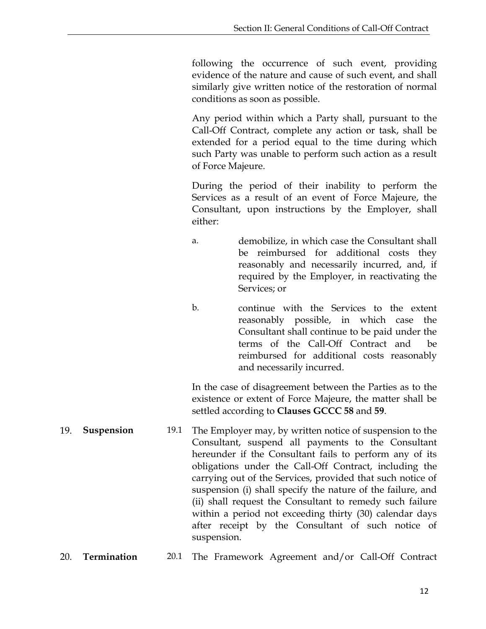following the occurrence of such event, providing evidence of the nature and cause of such event, and shall similarly give written notice of the restoration of normal conditions as soon as possible.

Any period within which a Party shall, pursuant to the Call-Off Contract, complete any action or task, shall be extended for a period equal to the time during which such Party was unable to perform such action as a result of Force Majeure.

During the period of their inability to perform the Services as a result of an event of Force Majeure, the Consultant, upon instructions by the Employer, shall either:

- a. demobilize, in which case the Consultant shall be reimbursed for additional costs they reasonably and necessarily incurred, and, if required by the Employer, in reactivating the Services; or
- b. continue with the Services to the extent reasonably possible, in which case the Consultant shall continue to be paid under the terms of the Call-Off Contract and be reimbursed for additional costs reasonably and necessarily incurred.

In the case of disagreement between the Parties as to the existence or extent of Force Majeure, the matter shall be settled according to **Clauses GCCC 58** and **59**.

- <span id="page-15-0"></span>19. **Suspension** 19.1 The Employer may, by written notice of suspension to the Consultant, suspend all payments to the Consultant hereunder if the Consultant fails to perform any of its obligations under the Call-Off Contract, including the carrying out of the Services, provided that such notice of suspension (i) shall specify the nature of the failure, and (ii) shall request the Consultant to remedy such failure within a period not exceeding thirty (30) calendar days after receipt by the Consultant of such notice of suspension.
- <span id="page-15-1"></span>20. **Termination** 20.1 The Framework Agreement and/or Call-Off Contract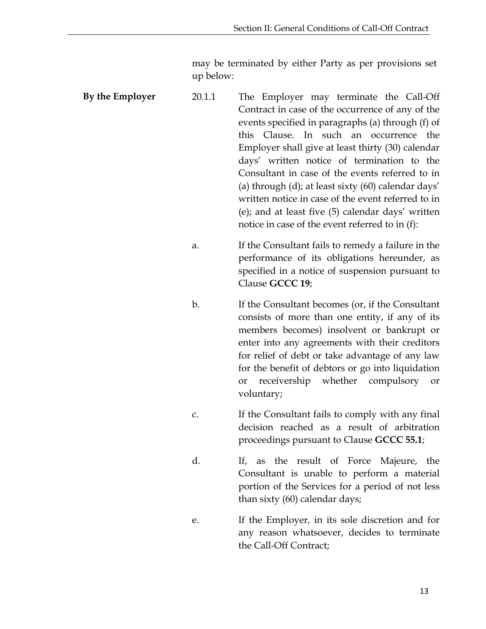may be terminated by either Party as per provisions set up below:

<span id="page-16-0"></span>

| By the Employer | 20.1.1         | The Employer may terminate the Call-Off<br>Contract in case of the occurrence of any of the<br>events specified in paragraphs (a) through (f) of<br>this Clause. In such an occurrence the<br>Employer shall give at least thirty (30) calendar<br>days' written notice of termination to the<br>Consultant in case of the events referred to in<br>(a) through (d); at least sixty (60) calendar days'<br>written notice in case of the event referred to in<br>(e); and at least five (5) calendar days' written<br>notice in case of the event referred to in (f): |
|-----------------|----------------|-----------------------------------------------------------------------------------------------------------------------------------------------------------------------------------------------------------------------------------------------------------------------------------------------------------------------------------------------------------------------------------------------------------------------------------------------------------------------------------------------------------------------------------------------------------------------|
|                 | a.             | If the Consultant fails to remedy a failure in the<br>performance of its obligations hereunder, as<br>specified in a notice of suspension pursuant to<br>Clause GCCC 19;                                                                                                                                                                                                                                                                                                                                                                                              |
|                 | $\mathbf{b}$ . | If the Consultant becomes (or, if the Consultant<br>consists of more than one entity, if any of its<br>members becomes) insolvent or bankrupt or<br>enter into any agreements with their creditors<br>for relief of debt or take advantage of any law<br>for the benefit of debtors or go into liquidation<br>receivership whether compulsory<br>or<br><b>or</b><br>voluntary;                                                                                                                                                                                        |
|                 | C.             | If the Consultant fails to comply with any final<br>decision reached as a result of arbitration<br>proceedings pursuant to Clause GCCC 55.1;                                                                                                                                                                                                                                                                                                                                                                                                                          |
|                 | d.             | If, as the result of Force Majeure, the<br>Consultant is unable to perform a material<br>portion of the Services for a period of not less<br>than sixty (60) calendar days;                                                                                                                                                                                                                                                                                                                                                                                           |
|                 | е.             | If the Employer, in its sole discretion and for<br>any reason whatsoever, decides to terminate<br>the Call-Off Contract;                                                                                                                                                                                                                                                                                                                                                                                                                                              |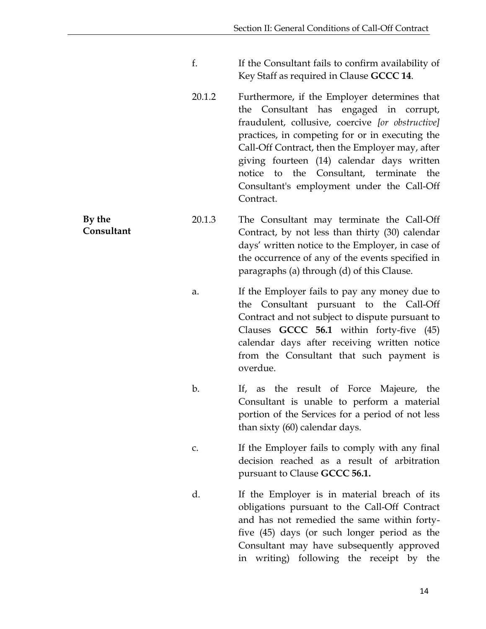- f. If the Consultant fails to confirm availability of Key Staff as required in Clause **GCCC 14**.
- 20.1.2 Furthermore, if the Employer determines that the Consultant has engaged in corrupt, fraudulent, collusive, coercive *[or obstructive]* practices, in competing for or in executing the Call-Off Contract, then the Employer may, after giving fourteen (14) calendar days written notice to the Consultant, terminate the Consultant's employment under the Call-Off Contract.

20.1.3 The Consultant may terminate the Call-Off Contract, by not less than thirty (30) calendar days' written notice to the Employer, in case of the occurrence of any of the events specified in paragraphs (a) through (d) of this Clause.

- a. If the Employer fails to pay any money due to the Consultant pursuant to the Call-Off Contract and not subject to dispute pursuant to Clauses **GCCC 56.1** within forty-five (45) calendar days after receiving written notice from the Consultant that such payment is overdue.
- b. If, as the result of Force Majeure, the Consultant is unable to perform a material portion of the Services for a period of not less than sixty (60) calendar days.
- c. If the Employer fails to comply with any final decision reached as a result of arbitration pursuant to Clause **GCCC 56.1.**
- d. If the Employer is in material breach of its obligations pursuant to the Call-Off Contract and has not remedied the same within fortyfive (45) days (or such longer period as the Consultant may have subsequently approved in writing) following the receipt by the

<span id="page-17-0"></span>**By the Consultant**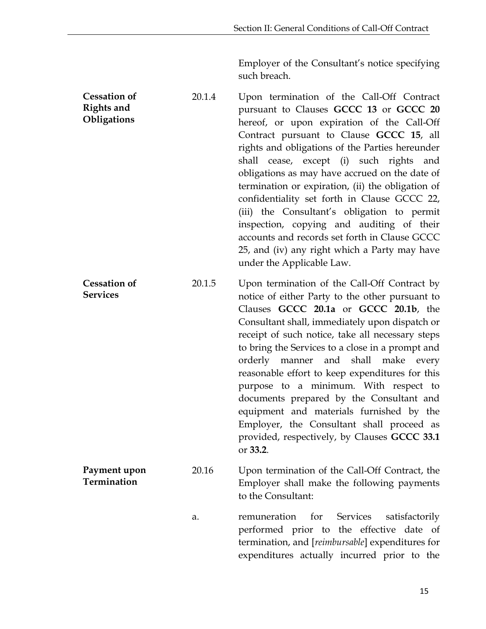Employer of the Consultant's notice specifying such breach.

<span id="page-18-1"></span><span id="page-18-0"></span>**Cessation of Rights and Obligations** 20.1.4 Upon termination of the Call-Off Contract pursuant to Clauses **GCCC 13** or **GCCC 20** hereof, or upon expiration of the Call-Off Contract pursuant to Clause **GCCC 15**, all rights and obligations of the Parties hereunder shall cease, except (i) such rights and obligations as may have accrued on the date of termination or expiration, (ii) the obligation of confidentiality set forth in Clause GCCC 22, (iii) the Consultant's obligation to permit inspection, copying and auditing of their accounts and records set forth in Clause GCCC 25, and (iv) any right which a Party may have under the Applicable Law. **Cessation of Services** 20.1.5 Upon termination of the Call-Off Contract by notice of either Party to the other pursuant to Clauses **GCCC 20.1a** or **GCCC 20.1b**, the Consultant shall, immediately upon dispatch or receipt of such notice, take all necessary steps to bring the Services to a close in a prompt and orderly manner and shall make every reasonable effort to keep expenditures for this purpose to a minimum. With respect to documents prepared by the Consultant and equipment and materials furnished by the Employer, the Consultant shall proceed as provided, respectively, by Clauses **GCCC 33.1** or **33.2**. **Payment upon Termination** 20.16 Upon termination of the Call-Off Contract, the Employer shall make the following payments to the Consultant: a. remuneration for Services satisfactorily performed prior to the effective date of termination, and [*reimbursable*] expenditures for

<span id="page-18-2"></span>expenditures actually incurred prior to the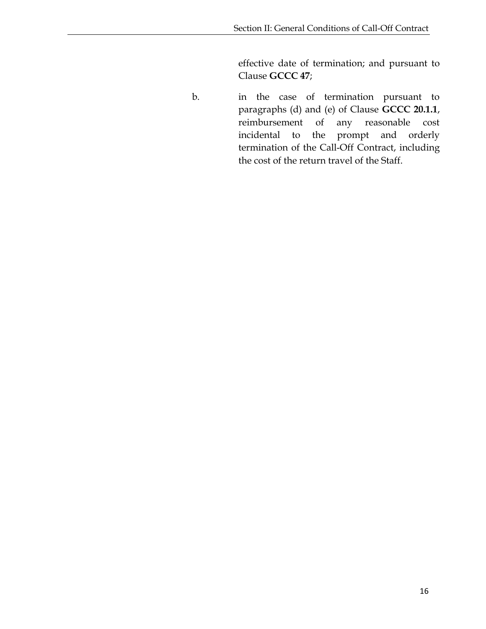effective date of termination; and pursuant to Clause **GCCC 47**;

b. in the case of termination pursuant to paragraphs (d) and (e) of Clause **GCCC 20.1.1**, reimbursement of any reasonable cost incidental to the prompt and orderly termination of the Call-Off Contract, including the cost of the return travel of the Staff.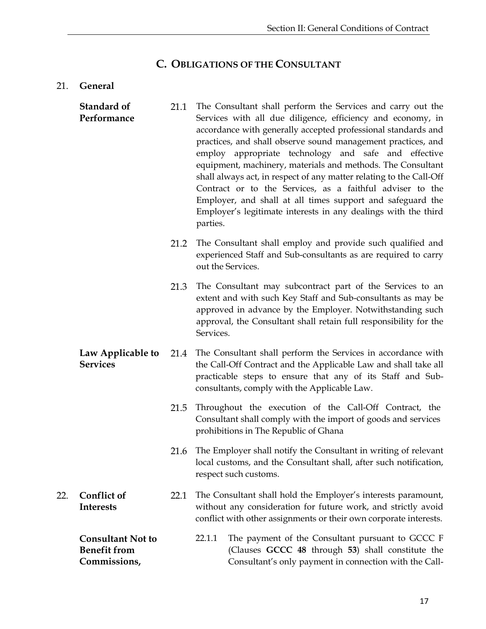## **C. OBLIGATIONS OF THE CONSULTANT**

#### <span id="page-20-1"></span><span id="page-20-0"></span>21. **General**

<span id="page-20-5"></span><span id="page-20-4"></span><span id="page-20-3"></span><span id="page-20-2"></span>

|     | Standard of<br>Performance                                      | 21.1 | The Consultant shall perform the Services and carry out the<br>Services with all due diligence, efficiency and economy, in<br>accordance with generally accepted professional standards and<br>practices, and shall observe sound management practices, and<br>employ appropriate technology and safe and effective<br>equipment, machinery, materials and methods. The Consultant<br>shall always act, in respect of any matter relating to the Call-Off<br>Contract or to the Services, as a faithful adviser to the<br>Employer, and shall at all times support and safeguard the<br>Employer's legitimate interests in any dealings with the third<br>parties. |
|-----|-----------------------------------------------------------------|------|--------------------------------------------------------------------------------------------------------------------------------------------------------------------------------------------------------------------------------------------------------------------------------------------------------------------------------------------------------------------------------------------------------------------------------------------------------------------------------------------------------------------------------------------------------------------------------------------------------------------------------------------------------------------|
|     |                                                                 | 21.2 | The Consultant shall employ and provide such qualified and<br>experienced Staff and Sub-consultants as are required to carry<br>out the Services.                                                                                                                                                                                                                                                                                                                                                                                                                                                                                                                  |
|     |                                                                 | 21.3 | The Consultant may subcontract part of the Services to an<br>extent and with such Key Staff and Sub-consultants as may be<br>approved in advance by the Employer. Notwithstanding such<br>approval, the Consultant shall retain full responsibility for the<br>Services.                                                                                                                                                                                                                                                                                                                                                                                           |
|     | Law Applicable to<br><b>Services</b>                            | 21.4 | The Consultant shall perform the Services in accordance with<br>the Call-Off Contract and the Applicable Law and shall take all<br>practicable steps to ensure that any of its Staff and Sub-<br>consultants, comply with the Applicable Law.                                                                                                                                                                                                                                                                                                                                                                                                                      |
|     |                                                                 | 21.5 | Throughout the execution of the Call-Off Contract, the<br>Consultant shall comply with the import of goods and services<br>prohibitions in The Republic of Ghana                                                                                                                                                                                                                                                                                                                                                                                                                                                                                                   |
|     |                                                                 | 21.6 | The Employer shall notify the Consultant in writing of relevant<br>local customs, and the Consultant shall, after such notification,<br>respect such customs.                                                                                                                                                                                                                                                                                                                                                                                                                                                                                                      |
| 22. | <b>Conflict of</b><br><b>Interests</b>                          | 22.1 | The Consultant shall hold the Employer's interests paramount,<br>without any consideration for future work, and strictly avoid<br>conflict with other assignments or their own corporate interests.                                                                                                                                                                                                                                                                                                                                                                                                                                                                |
|     | <b>Consultant Not to</b><br><b>Benefit from</b><br>Commissions, |      | The payment of the Consultant pursuant to GCCC F<br>22.1.1<br>(Clauses GCCC 48 through 53) shall constitute the<br>Consultant's only payment in connection with the Call-                                                                                                                                                                                                                                                                                                                                                                                                                                                                                          |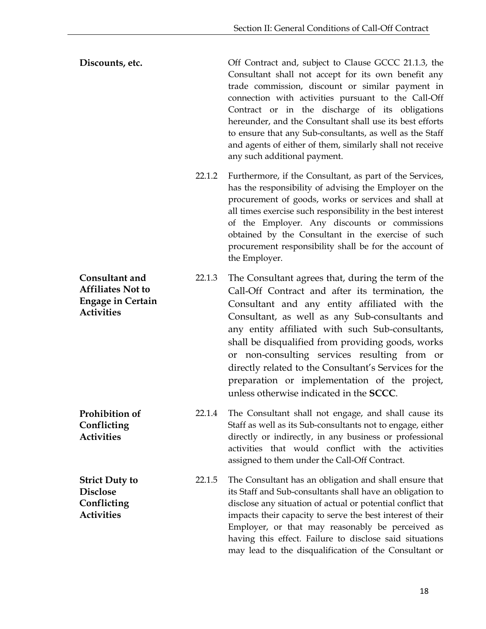**Discounts, etc. Discounts, etc. Off Contract and, subject to Clause GCCC 21.1.3, the** Consultant shall not accept for its own benefit any trade commission, discount or similar payment in connection with activities pursuant to the Call-Off Contract or in the discharge of its obligations hereunder, and the Consultant shall use its best efforts to ensure that any Sub-consultants, as well as the Staff and agents of either of them, similarly shall not receive any such additional payment.

- 22.1.2 Furthermore, if the Consultant, as part of the Services, has the responsibility of advising the Employer on the procurement of goods, works or services and shall at all times exercise such responsibility in the best interest of the Employer. Any discounts or commissions obtained by the Consultant in the exercise of such procurement responsibility shall be for the account of the Employer.
- <span id="page-21-0"></span>**Consultant and Affiliates Not to Engage in Certain Activities** 22.1.3 The Consultant agrees that, during the term of the Call-Off Contract and after its termination, the Consultant and any entity affiliated with the Consultant, as well as any Sub-consultants and any entity affiliated with such Sub-consultants, shall be disqualified from providing goods, works or non-consulting services resulting from or directly related to the Consultant's Services for the preparation or implementation of the project, unless otherwise indicated in the **SCCC**.
- <span id="page-21-1"></span>**Prohibition of Conflicting Activities** 22.1.4 The Consultant shall not engage, and shall cause its Staff as well as its Sub-consultants not to engage, either directly or indirectly, in any business or professional activities that would conflict with the activities assigned to them under the Call-Off Contract.
- <span id="page-21-2"></span>**Strict Duty to Disclose Conflicting Activities** 22.1.5 The Consultant has an obligation and shall ensure that its Staff and Sub-consultants shall have an obligation to disclose any situation of actual or potential conflict that impacts their capacity to serve the best interest of their Employer, or that may reasonably be perceived as having this effect. Failure to disclose said situations may lead to the disqualification of the Consultant or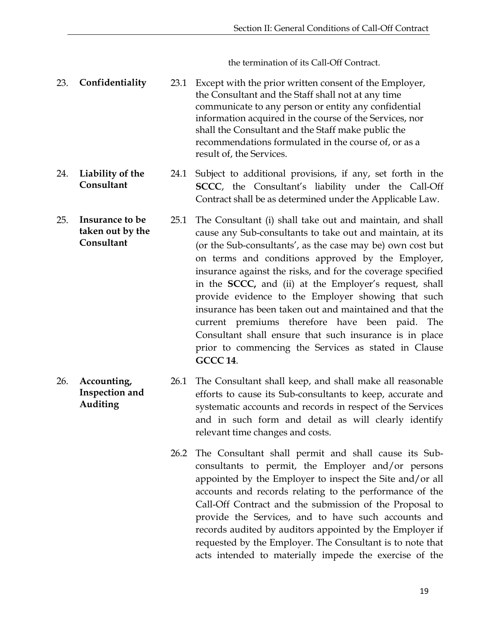the termination of its Call-Off Contract.

- <span id="page-22-0"></span>23. **Confidentiality** 23.1 Except with the prior written consent of the Employer, the Consultant and the Staff shall not at any time communicate to any person or entity any confidential information acquired in the course of the Services, nor shall the Consultant and the Staff make public the recommendations formulated in the course of, or as a result of, the Services.
- <span id="page-22-1"></span>24. **Liability of the Consultant** 24.1 Subject to additional provisions, if any, set forth in the **SCCC**, the Consultant's liability under the Call-Off Contract shall be as determined under the Applicable Law.
- <span id="page-22-2"></span>25. **Insurance to be taken out by the Consultant** 25.1 The Consultant (i) shall take out and maintain, and shall cause any Sub-consultants to take out and maintain, at its (or the Sub-consultants', as the case may be) own cost but on terms and conditions approved by the Employer, insurance against the risks, and for the coverage specified in the **SCCC,** and (ii) at the Employer's request, shall provide evidence to the Employer showing that such insurance has been taken out and maintained and that the current premiums therefore have been paid. The Consultant shall ensure that such insurance is in place prior to commencing the Services as stated in Clause **GCCC 14**.
- <span id="page-22-3"></span>26. **Accounting, Inspection and Auditing** 26.1 The Consultant shall keep, and shall make all reasonable efforts to cause its Sub-consultants to keep, accurate and systematic accounts and records in respect of the Services and in such form and detail as will clearly identify relevant time changes and costs.
	- 26.2 The Consultant shall permit and shall cause its Subconsultants to permit, the Employer and/or persons appointed by the Employer to inspect the Site and/or all accounts and records relating to the performance of the Call-Off Contract and the submission of the Proposal to provide the Services, and to have such accounts and records audited by auditors appointed by the Employer if requested by the Employer. The Consultant is to note that acts intended to materially impede the exercise of the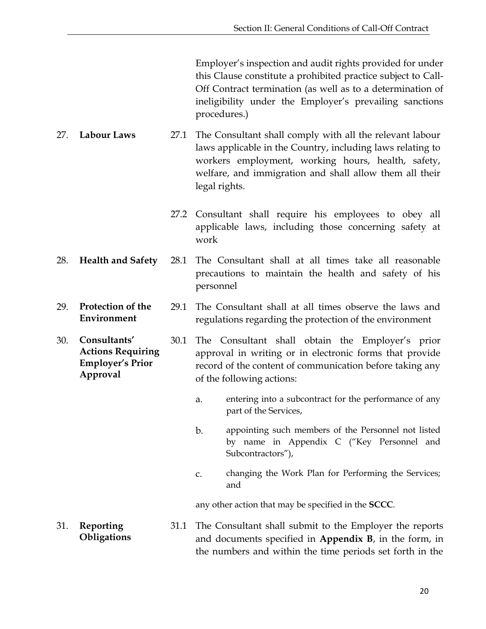Employer's inspection and audit rights provided for under this Clause constitute a prohibited practice subject to Call-Off Contract termination (as well as to a determination of ineligibility under the Employer's prevailing sanctions procedures.)

- <span id="page-23-0"></span>27. **Labour Laws** 27.1 The Consultant shall comply with all the relevant labour laws applicable in the Country, including laws relating to workers employment, working hours, health, safety, welfare, and immigration and shall allow them all their legal rights.
	- 27.2 Consultant shall require his employees to obey all applicable laws, including those concerning safety at work
- <span id="page-23-1"></span>28. **Health and Safety** 28.1 The Consultant shall at all times take all reasonable precautions to maintain the health and safety of his personnel
- <span id="page-23-2"></span>29. **Protection of the Environment** 29.1 The Consultant shall at all times observe the laws and regulations regarding the protection of the environment
- <span id="page-23-3"></span>30. **Consultants' Actions Requiring Employer's Prior Approval** 30.1 The Consultant shall obtain the Employer's prior approval in writing or in electronic forms that provide record of the content of communication before taking any of the following actions:
	- a. entering into a subcontract for the performance of any part of the Services,
	- b. appointing such members of the Personnel not listed by name in Appendix C ("Key Personnel and Subcontractors"),
	- c. changing the Work Plan for Performing the Services; and

any other action that may be specified in the **SCCC**.

<span id="page-23-4"></span>31. **Reporting Obligations** 31.1 The Consultant shall submit to the Employer the reports and documents specified in **Appendix B**, in the form, in the numbers and within the time periods set forth in the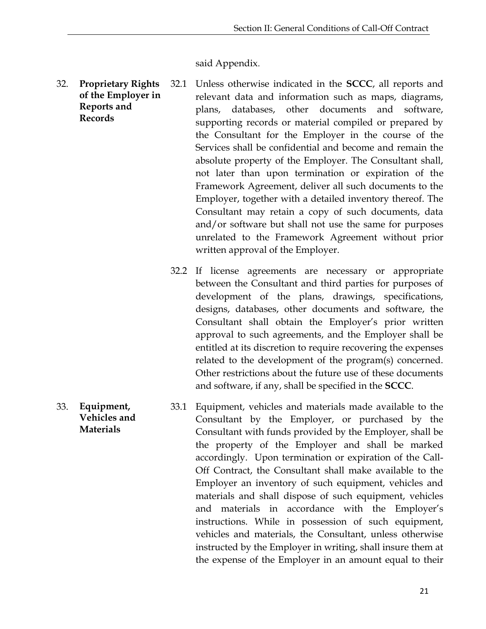said Appendix.

- <span id="page-24-0"></span>32. **Proprietary Rights of the Employer in Reports and Records** 32.1 Unless otherwise indicated in the **SCCC**, all reports and relevant data and information such as maps, diagrams, plans, databases, other documents and software, supporting records or material compiled or prepared by the Consultant for the Employer in the course of the Services shall be confidential and become and remain the absolute property of the Employer. The Consultant shall, not later than upon termination or expiration of the Framework Agreement, deliver all such documents to the Employer, together with a detailed inventory thereof. The Consultant may retain a copy of such documents, data and/or software but shall not use the same for purposes unrelated to the Framework Agreement without prior written approval of the Employer.
	- 32.2 If license agreements are necessary or appropriate between the Consultant and third parties for purposes of development of the plans, drawings, specifications, designs, databases, other documents and software, the Consultant shall obtain the Employer's prior written approval to such agreements, and the Employer shall be entitled at its discretion to require recovering the expenses related to the development of the program(s) concerned. Other restrictions about the future use of these documents and software, if any, shall be specified in the **SCCC**.
- <span id="page-24-1"></span>33. **Equipment, Vehicles and Materials**  33.1 Equipment, vehicles and materials made available to the Consultant by the Employer, or purchased by the Consultant with funds provided by the Employer, shall be the property of the Employer and shall be marked accordingly. Upon termination or expiration of the Call-Off Contract, the Consultant shall make available to the Employer an inventory of such equipment, vehicles and materials and shall dispose of such equipment, vehicles and materials in accordance with the Employer's instructions. While in possession of such equipment, vehicles and materials, the Consultant, unless otherwise instructed by the Employer in writing, shall insure them at the expense of the Employer in an amount equal to their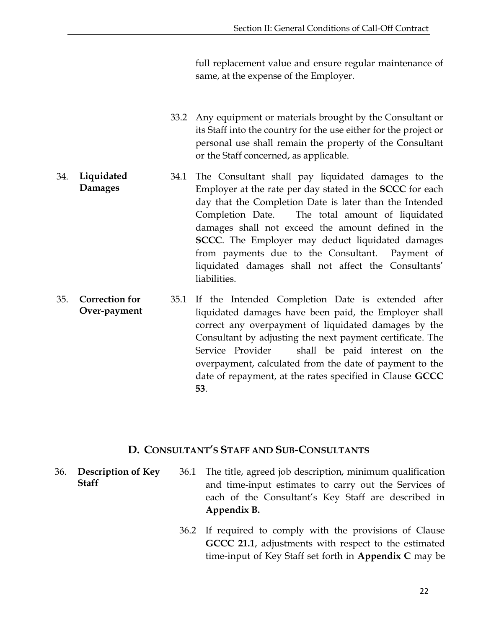full replacement value and ensure regular maintenance of same, at the expense of the Employer.

- 33.2 Any equipment or materials brought by the Consultant or its Staff into the country for the use either for the project or personal use shall remain the property of the Consultant or the Staff concerned, as applicable.
- <span id="page-25-0"></span>34. **Liquidated Damages** 34.1 The Consultant shall pay liquidated damages to the Employer at the rate per day stated in the **SCCC** for each day that the Completion Date is later than the Intended Completion Date. The total amount of liquidated damages shall not exceed the amount defined in the **SCCC**. The Employer may deduct liquidated damages from payments due to the Consultant. Payment of liquidated damages shall not affect the Consultants' liabilities.
- <span id="page-25-1"></span>35. **Correction for Over-payment** 35.1 If the Intended Completion Date is extended after liquidated damages have been paid, the Employer shall correct any overpayment of liquidated damages by the Consultant by adjusting the next payment certificate. The Service Provider shall be paid interest on the overpayment, calculated from the date of payment to the date of repayment, at the rates specified in Clause **GCCC 53**.

#### **D. CONSULTANT'S STAFF AND SUB-CONSULTANTS**

- <span id="page-25-3"></span><span id="page-25-2"></span>36. **Description of Key Staff** 36.1 The title, agreed job description, minimum qualification and time-input estimates to carry out the Services of each of the Consultant's Key Staff are described in **Appendix B.** 
	- 36.2 If required to comply with the provisions of Clause **GCCC 21.1**, adjustments with respect to the estimated time-input of Key Staff set forth in **Appendix C** may be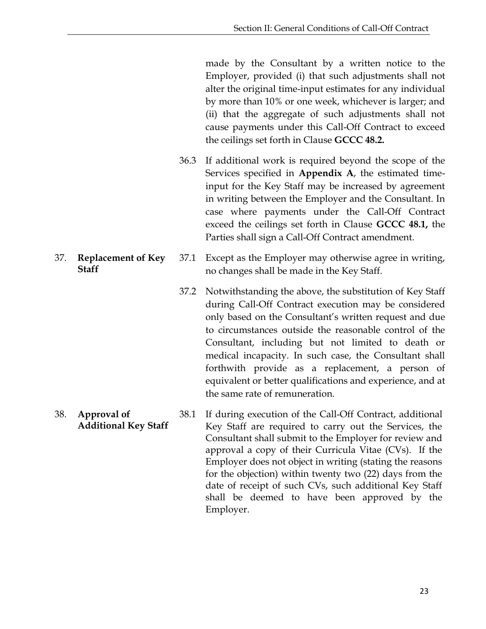made by the Consultant by a written notice to the Employer, provided (i) that such adjustments shall not alter the original time-input estimates for any individual by more than 10% or one week, whichever is larger; and (ii) that the aggregate of such adjustments shall not cause payments under this Call-Off Contract to exceed the ceilings set forth in Clause **GCCC 48.2.**

- 36.3 If additional work is required beyond the scope of the Services specified in **Appendix A**, the estimated timeinput for the Key Staff may be increased by agreement in writing between the Employer and the Consultant. In case where payments under the Call-Off Contract exceed the ceilings set forth in Clause **GCCC 48.1,** the Parties shall sign a Call-Off Contract amendment.
- 37.1 Except as the Employer may otherwise agree in writing, no changes shall be made in the Key Staff.
	- 37.2 Notwithstanding the above, the substitution of Key Staff during Call-Off Contract execution may be considered only based on the Consultant's written request and due to circumstances outside the reasonable control of the Consultant, including but not limited to death or medical incapacity. In such case, the Consultant shall forthwith provide as a replacement, a person of equivalent or better qualifications and experience, and at the same rate of remuneration.
- <span id="page-26-1"></span>38. **Approval of Additional Key Staff** 38.1 If during execution of the Call-Off Contract, additional Key Staff are required to carry out the Services, the Consultant shall submit to the Employer for review and approval a copy of their Curricula Vitae (CVs). If the Employer does not object in writing (stating the reasons for the objection) within twenty two (22) days from the date of receipt of such CVs, such additional Key Staff shall be deemed to have been approved by the Employer.

<span id="page-26-0"></span>37. **Replacement of Key Staff**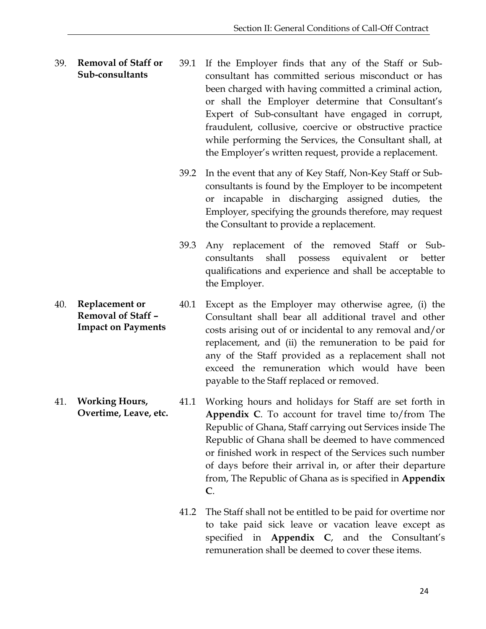- <span id="page-27-0"></span>39. **Removal of Staff or Sub-consultants** 39.1 If the Employer finds that any of the Staff or Subconsultant has committed serious misconduct or has been charged with having committed a criminal action, or shall the Employer determine that Consultant's Expert of Sub-consultant have engaged in corrupt, fraudulent, collusive, coercive or obstructive practice while performing the Services, the Consultant shall, at the Employer's written request, provide a replacement.
	- 39.2 In the event that any of Key Staff, Non-Key Staff or Subconsultants is found by the Employer to be incompetent or incapable in discharging assigned duties, the Employer, specifying the grounds therefore, may request the Consultant to provide a replacement.
	- 39.3 Any replacement of the removed Staff or Subconsultants shall possess equivalent or better qualifications and experience and shall be acceptable to the Employer.
- <span id="page-27-1"></span>40. **Replacement or Removal of Staff – Impact on Payments** 40.1 Except as the Employer may otherwise agree, (i) the Consultant shall bear all additional travel and other costs arising out of or incidental to any removal and/or replacement, and (ii) the remuneration to be paid for any of the Staff provided as a replacement shall not exceed the remuneration which would have been payable to the Staff replaced or removed.
- <span id="page-27-2"></span>41. **Working Hours, Overtime, Leave, etc.** 41.1 Working hours and holidays for Staff are set forth in **Appendix C**. To account for travel time to/from The Republic of Ghana, Staff carrying out Services inside The Republic of Ghana shall be deemed to have commenced or finished work in respect of the Services such number of days before their arrival in, or after their departure from, The Republic of Ghana as is specified in **Appendix C**.
	- 41.2 The Staff shall not be entitled to be paid for overtime nor to take paid sick leave or vacation leave except as specified in **Appendix C**, and the Consultant's remuneration shall be deemed to cover these items.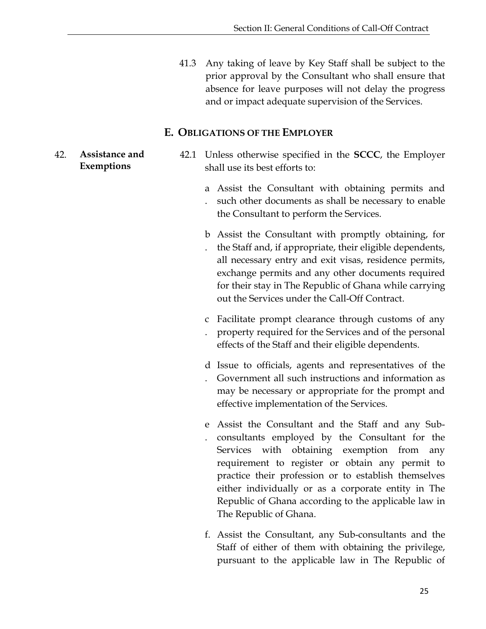41.3 Any taking of leave by Key Staff shall be subject to the prior approval by the Consultant who shall ensure that absence for leave purposes will not delay the progress and or impact adequate supervision of the Services.

#### **E. OBLIGATIONS OF THE EMPLOYER**

- <span id="page-28-1"></span><span id="page-28-0"></span>**Exemptions** 42.1 Unless otherwise specified in the **SCCC**, the Employer shall use its best efforts to:
	- a Assist the Consultant with obtaining permits and . such other documents as shall be necessary to enable the Consultant to perform the Services.
	- b Assist the Consultant with promptly obtaining, for . the Staff and, if appropriate, their eligible dependents, all necessary entry and exit visas, residence permits, exchange permits and any other documents required for their stay in The Republic of Ghana while carrying out the Services under the Call-Off Contract.
	- c Facilitate prompt clearance through customs of any
	- . property required for the Services and of the personal effects of the Staff and their eligible dependents.
	- d Issue to officials, agents and representatives of the
	- . Government all such instructions and information as may be necessary or appropriate for the prompt and effective implementation of the Services.
	- e Assist the Consultant and the Staff and any Sub-. consultants employed by the Consultant for the Services with obtaining exemption from any requirement to register or obtain any permit to practice their profession or to establish themselves either individually or as a corporate entity in The Republic of Ghana according to the applicable law in The Republic of Ghana.
	- f. Assist the Consultant, any Sub-consultants and the Staff of either of them with obtaining the privilege, pursuant to the applicable law in The Republic of

42. **Assistance and**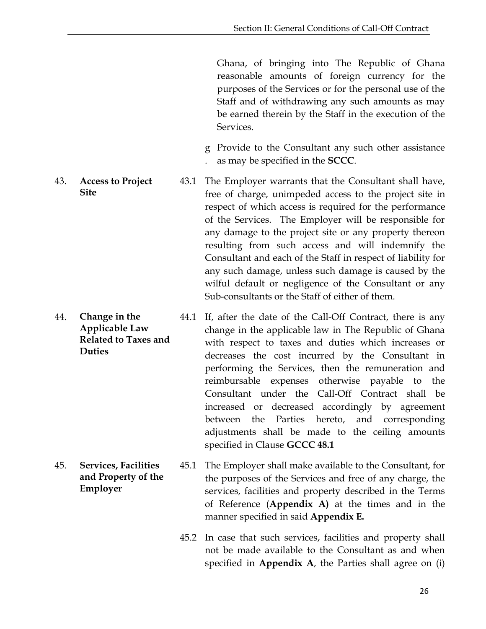Ghana, of bringing into The Republic of Ghana reasonable amounts of foreign currency for the purposes of the Services or for the personal use of the Staff and of withdrawing any such amounts as may be earned therein by the Staff in the execution of the Services.

- g Provide to the Consultant any such other assistance . as may be specified in the **SCCC**.
- <span id="page-29-0"></span>**Site** 43.1 The Employer warrants that the Consultant shall have, free of charge, unimpeded access to the project site in respect of which access is required for the performance of the Services. The Employer will be responsible for any damage to the project site or any property thereon resulting from such access and will indemnify the Consultant and each of the Staff in respect of liability for any such damage, unless such damage is caused by the wilful default or negligence of the Consultant or any Sub-consultants or the Staff of either of them.
- <span id="page-29-1"></span>44. **Change in the Applicable Law Related to Taxes and Duties** 44.1 If, after the date of the Call-Off Contract, there is any change in the applicable law in The Republic of Ghana with respect to taxes and duties which increases or decreases the cost incurred by the Consultant in performing the Services, then the remuneration and reimbursable expenses otherwise payable to the Consultant under the Call-Off Contract shall be increased or decreased accordingly by agreement between the Parties hereto, and corresponding adjustments shall be made to the ceiling amounts specified in Clause **GCCC 48.1**
	- **and Property of the Employer** 45.1 The Employer shall make available to the Consultant, for the purposes of the Services and free of any charge, the services, facilities and property described in the Terms of Reference (**Appendix A)** at the times and in the manner specified in said **Appendix E.**
		- 45.2 In case that such services, facilities and property shall not be made available to the Consultant as and when specified in **Appendix A**, the Parties shall agree on (i)

43. **Access to Project** 

<span id="page-29-2"></span>45. **Services, Facilities**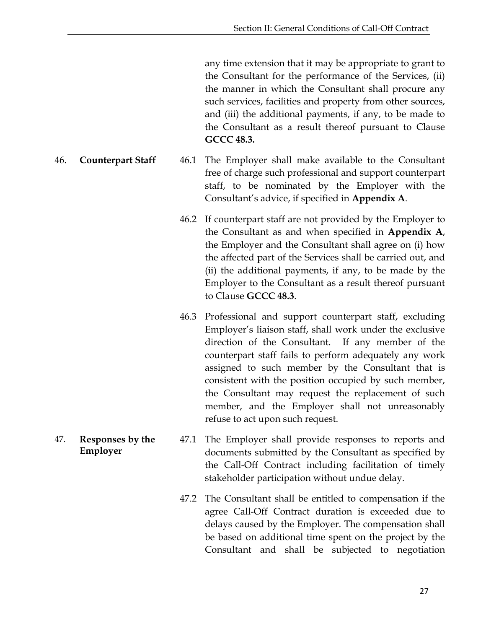any time extension that it may be appropriate to grant to the Consultant for the performance of the Services, (ii) the manner in which the Consultant shall procure any such services, facilities and property from other sources, and (iii) the additional payments, if any, to be made to the Consultant as a result thereof pursuant to Clause **GCCC 48.3.**

- <span id="page-30-0"></span>46. **Counterpart Staff** 46.1 The Employer shall make available to the Consultant free of charge such professional and support counterpart staff, to be nominated by the Employer with the Consultant's advice, if specified in **Appendix A**.
	- 46.2 If counterpart staff are not provided by the Employer to the Consultant as and when specified in **Appendix A**, the Employer and the Consultant shall agree on (i) how the affected part of the Services shall be carried out, and (ii) the additional payments, if any, to be made by the Employer to the Consultant as a result thereof pursuant to Clause **GCCC 48.3**.
	- 46.3 Professional and support counterpart staff, excluding Employer's liaison staff, shall work under the exclusive direction of the Consultant. If any member of the counterpart staff fails to perform adequately any work assigned to such member by the Consultant that is consistent with the position occupied by such member, the Consultant may request the replacement of such member, and the Employer shall not unreasonably refuse to act upon such request.
- <span id="page-30-1"></span>**Employer** 47.1 The Employer shall provide responses to reports and documents submitted by the Consultant as specified by the Call-Off Contract including facilitation of timely stakeholder participation without undue delay.
	- 47.2 The Consultant shall be entitled to compensation if the agree Call-Off Contract duration is exceeded due to delays caused by the Employer. The compensation shall be based on additional time spent on the project by the Consultant and shall be subjected to negotiation
- 47. **Responses by the**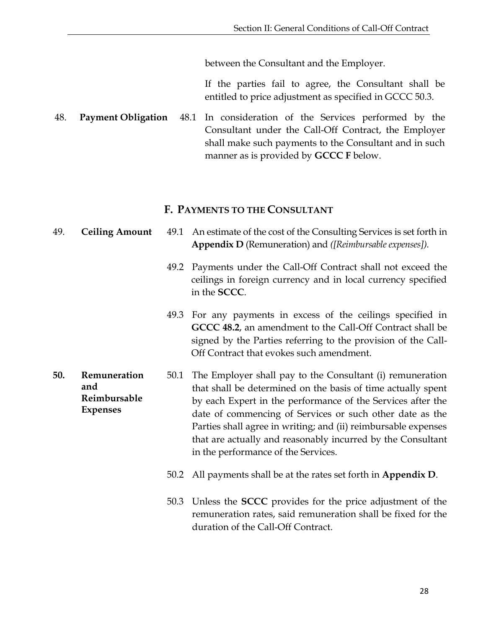between the Consultant and the Employer.

If the parties fail to agree, the Consultant shall be entitled to price adjustment as specified in GCCC 50.3.

<span id="page-31-0"></span>48. **Payment Obligation** 48.1 In consideration of the Services performed by the Consultant under the Call-Off Contract, the Employer shall make such payments to the Consultant and in such manner as is provided by **GCCC F** below.

#### **F. PAYMENTS TO THE CONSULTANT**

- <span id="page-31-2"></span><span id="page-31-1"></span>49. **Ceiling Amount** 49.1 An estimate of the cost of the Consulting Services is set forth in **Appendix D** (Remuneration) and *([Reimbursable expenses]).*
	- 49.2 Payments under the Call-Off Contract shall not exceed the ceilings in foreign currency and in local currency specified in the **SCCC**.
	- 49.3 For any payments in excess of the ceilings specified in **GCCC 48.2**, an amendment to the Call-Off Contract shall be signed by the Parties referring to the provision of the Call-Off Contract that evokes such amendment.
- <span id="page-31-3"></span>**and Reimbursable Expenses** 50.1 The Employer shall pay to the Consultant (i) remuneration that shall be determined on the basis of time actually spent by each Expert in the performance of the Services after the date of commencing of Services or such other date as the Parties shall agree in writing; and (ii) reimbursable expenses that are actually and reasonably incurred by the Consultant in the performance of the Services.
	- 50.2 All payments shall be at the rates set forth in **Appendix D**.
	- 50.3 Unless the **SCCC** provides for the price adjustment of the remuneration rates, said remuneration shall be fixed for the duration of the Call-Off Contract.

**50. Remuneration**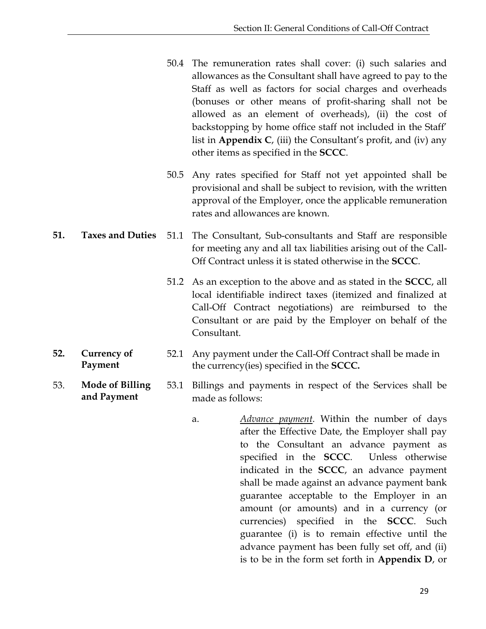- 50.4 The remuneration rates shall cover: (i) such salaries and allowances as the Consultant shall have agreed to pay to the Staff as well as factors for social charges and overheads (bonuses or other means of profit-sharing shall not be allowed as an element of overheads), (ii) the cost of backstopping by home office staff not included in the Staff' list in **Appendix C**, (iii) the Consultant's profit, and (iv) any other items as specified in the **SCCC**.
- 50.5 Any rates specified for Staff not yet appointed shall be provisional and shall be subject to revision, with the written approval of the Employer, once the applicable remuneration rates and allowances are known.
- <span id="page-32-0"></span>**51. Taxes and Duties** 51.1 The Consultant, Sub-consultants and Staff are responsible for meeting any and all tax liabilities arising out of the Call-Off Contract unless it is stated otherwise in the **SCCC**.
	- 51.2 As an exception to the above and as stated in the **SCCC**, all local identifiable indirect taxes (itemized and finalized at Call-Off Contract negotiations) are reimbursed to the Consultant or are paid by the Employer on behalf of the Consultant.
- <span id="page-32-1"></span>**52. Currency of Payment** 52.1 Any payment under the Call-Off Contract shall be made in the currency(ies) specified in the **SCCC.**
- <span id="page-32-2"></span>53. **Mode of Billing and Payment** 53.1 Billings and payments in respect of the Services shall be made as follows:
	- a. *Advance payment*. Within the number of days after the Effective Date, the Employer shall pay to the Consultant an advance payment as specified in the **SCCC**. Unless otherwise indicated in the **SCCC**, an advance payment shall be made against an advance payment bank guarantee acceptable to the Employer in an amount (or amounts) and in a currency (or currencies) specified in the **SCCC**. Such guarantee (i) is to remain effective until the advance payment has been fully set off, and (ii) is to be in the form set forth in **Appendix D**, or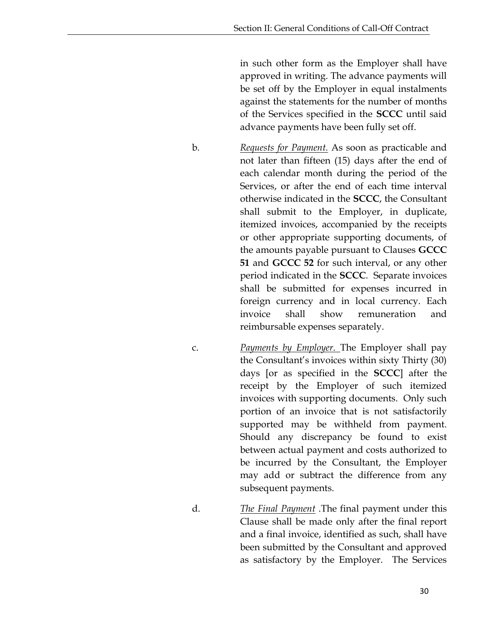in such other form as the Employer shall have approved in writing. The advance payments will be set off by the Employer in equal instalments against the statements for the number of months of the Services specified in the **SCCC** until said advance payments have been fully set off.

b. *Requests for Payment.* As soon as practicable and not later than fifteen (15) days after the end of each calendar month during the period of the Services, or after the end of each time interval otherwise indicated in the **SCCC**, the Consultant shall submit to the Employer, in duplicate, itemized invoices, accompanied by the receipts or other appropriate supporting documents, of the amounts payable pursuant to Clauses **GCCC 51** and **GCCC 52** for such interval, or any other period indicated in the **SCCC**. Separate invoices shall be submitted for expenses incurred in foreign currency and in local currency. Each invoice shall show remuneration and reimbursable expenses separately.

c. *Payments by Employer.* The Employer shall pay the Consultant's invoices within sixty Thirty (30) days [or as specified in the **SCCC**] after the receipt by the Employer of such itemized invoices with supporting documents. Only such portion of an invoice that is not satisfactorily supported may be withheld from payment. Should any discrepancy be found to exist between actual payment and costs authorized to be incurred by the Consultant, the Employer may add or subtract the difference from any subsequent payments.

d. *The Final Payment* .The final payment under this Clause shall be made only after the final report and a final invoice, identified as such, shall have been submitted by the Consultant and approved as satisfactory by the Employer. The Services

30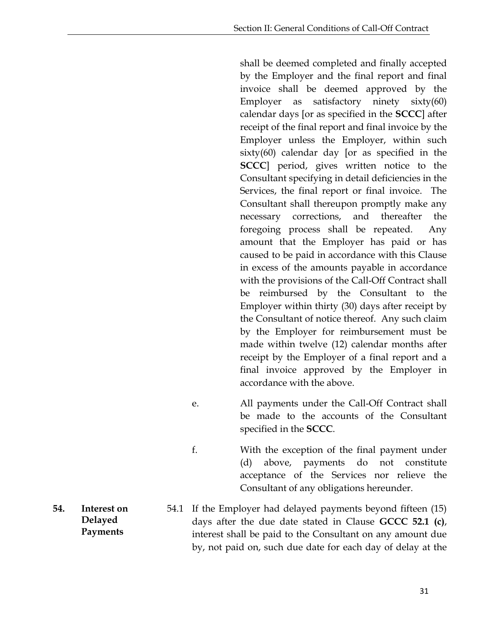shall be deemed completed and finally accepted by the Employer and the final report and final invoice shall be deemed approved by the Employer as satisfactory ninety  $sixty(60)$ calendar days [or as specified in the **SCCC**] after receipt of the final report and final invoice by the Employer unless the Employer, within such sixty(60) calendar day [or as specified in the **SCCC**] period, gives written notice to the Consultant specifying in detail deficiencies in the Services, the final report or final invoice. The Consultant shall thereupon promptly make any necessary corrections, and thereafter the foregoing process shall be repeated. Any amount that the Employer has paid or has caused to be paid in accordance with this Clause in excess of the amounts payable in accordance with the provisions of the Call-Off Contract shall be reimbursed by the Consultant to the Employer within thirty (30) days after receipt by the Consultant of notice thereof. Any such claim by the Employer for reimbursement must be made within twelve (12) calendar months after receipt by the Employer of a final report and a final invoice approved by the Employer in accordance with the above.

- e. All payments under the Call-Off Contract shall be made to the accounts of the Consultant specified in the **SCCC**.
- f. With the exception of the final payment under (d) above, payments do not constitute acceptance of the Services nor relieve the Consultant of any obligations hereunder.
- 54.1 If the Employer had delayed payments beyond fifteen (15) days after the due date stated in Clause **GCCC 52.1 (c)**, interest shall be paid to the Consultant on any amount due by, not paid on, such due date for each day of delay at the
- <span id="page-34-0"></span>**54. Interest on Delayed Payments**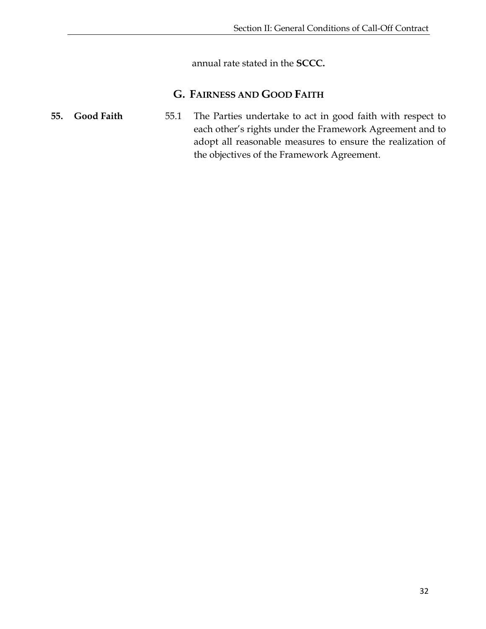annual rate stated in the **SCCC.**

#### **G. FAIRNESS AND GOOD FAITH**

<span id="page-35-1"></span><span id="page-35-0"></span>**55. Good Faith** 55.1 The Parties undertake to act in good faith with respect to each other's rights under the Framework Agreement and to adopt all reasonable measures to ensure the realization of the objectives of the Framework Agreement.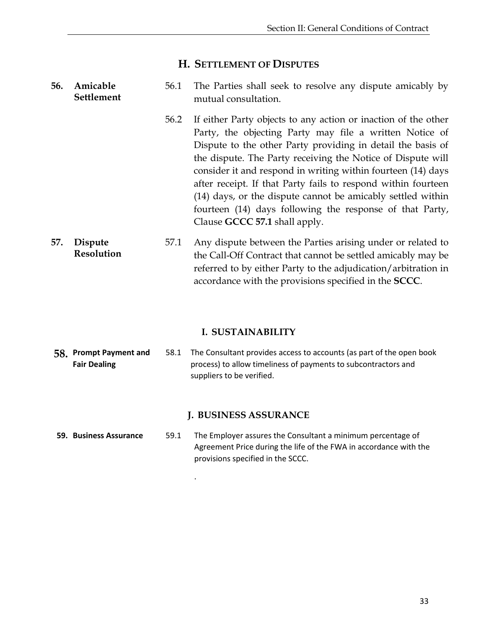#### **H. SETTLEMENT OF DISPUTES**

#### <span id="page-36-1"></span><span id="page-36-0"></span>**56. Amicable Settlement** 56.1 The Parties shall seek to resolve any dispute amicably by mutual consultation.

| 56.2 If either Party objects to any action or inaction of the other |
|---------------------------------------------------------------------|
| Party, the objecting Party may file a written Notice of             |
| Dispute to the other Party providing in detail the basis of         |
| the dispute. The Party receiving the Notice of Dispute will         |
| consider it and respond in writing within fourteen (14) days        |
| after receipt. If that Party fails to respond within fourteen       |
| (14) days, or the dispute cannot be amicably settled within         |
| fourteen (14) days following the response of that Party,            |
| Clause GCCC 57.1 shall apply.                                       |

<span id="page-36-2"></span>**57. Dispute Resolution** 57.1 Any dispute between the Parties arising under or related to the Call-Off Contract that cannot be settled amicably may be referred to by either Party to the adjudication/arbitration in accordance with the provisions specified in the **SCCC**.

#### **I. SUSTAINABILITY**

<span id="page-36-3"></span>**58. Prompt Payment and Fair Dealing** 58.1 The Consultant provides access to accounts (as part of the open book process) to allow timeliness of payments to subcontractors and suppliers to be verified.

#### **J. BUSINESS ASSURANCE**

<span id="page-36-4"></span>**59. Business Assurance** 59.1 The Employer assures the Consultant a minimum percentage of Agreement Price during the life of the FWA in accordance with the provisions specified in the SCCC.

.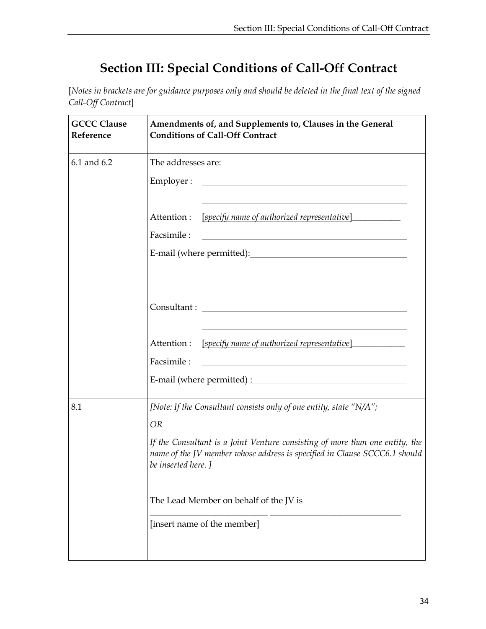## **Section III: Special Conditions of Call-Off Contract**

<span id="page-37-0"></span>[*Notes in brackets are for guidance purposes only and should be deleted in the final text of the signed Call-Off Contract*]

| <b>GCCC Clause</b><br>Reference | Amendments of, and Supplements to, Clauses in the General<br><b>Conditions of Call-Off Contract</b>                                                                              |  |  |
|---------------------------------|----------------------------------------------------------------------------------------------------------------------------------------------------------------------------------|--|--|
| 6.1 and 6.2                     | The addresses are:                                                                                                                                                               |  |  |
|                                 | Employer :                                                                                                                                                                       |  |  |
|                                 | <u>[specify name of authorized representative]</u><br>Attention :<br>Facsimile:                                                                                                  |  |  |
|                                 |                                                                                                                                                                                  |  |  |
|                                 | Attention :<br><u>[specify name of authorized representative]</u>                                                                                                                |  |  |
|                                 | Facsimile:                                                                                                                                                                       |  |  |
|                                 |                                                                                                                                                                                  |  |  |
| 8.1                             | [Note: If the Consultant consists only of one entity, state "N/A";                                                                                                               |  |  |
|                                 | <b>OR</b>                                                                                                                                                                        |  |  |
|                                 | If the Consultant is a Joint Venture consisting of more than one entity, the<br>name of the JV member whose address is specified in Clause SCCC6.1 should<br>be inserted here. ] |  |  |
|                                 | The Lead Member on behalf of the JV is                                                                                                                                           |  |  |
|                                 | [insert name of the member]                                                                                                                                                      |  |  |
|                                 |                                                                                                                                                                                  |  |  |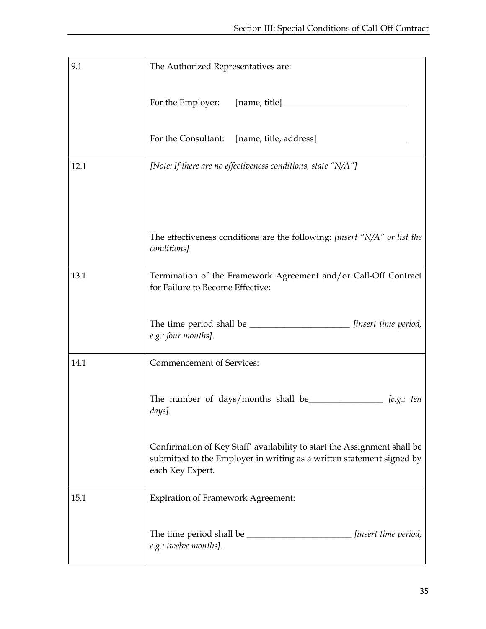| 9.1  | The Authorized Representatives are:                                                                                                                                   |
|------|-----------------------------------------------------------------------------------------------------------------------------------------------------------------------|
|      |                                                                                                                                                                       |
|      |                                                                                                                                                                       |
| 12.1 | [Note: If there are no effectiveness conditions, state "N/A"]                                                                                                         |
|      |                                                                                                                                                                       |
|      |                                                                                                                                                                       |
|      | The effectiveness conditions are the following: [insert "N/A" or list the<br>conditions]                                                                              |
| 13.1 | Termination of the Framework Agreement and/or Call-Off Contract<br>for Failure to Become Effective:                                                                   |
|      | The time period shall be _______________________ [insert time period,<br>e.g.: four months].                                                                          |
| 14.1 | Commencement of Services:                                                                                                                                             |
|      | The number of days/months shall be $[$ e.g.: ten<br>days].                                                                                                            |
|      | Confirmation of Key Staff' availability to start the Assignment shall be<br>submitted to the Employer in writing as a written statement signed by<br>each Key Expert. |
| 15.1 | <b>Expiration of Framework Agreement:</b>                                                                                                                             |
|      | [insert time period,<br>e.g.: twelve months].                                                                                                                         |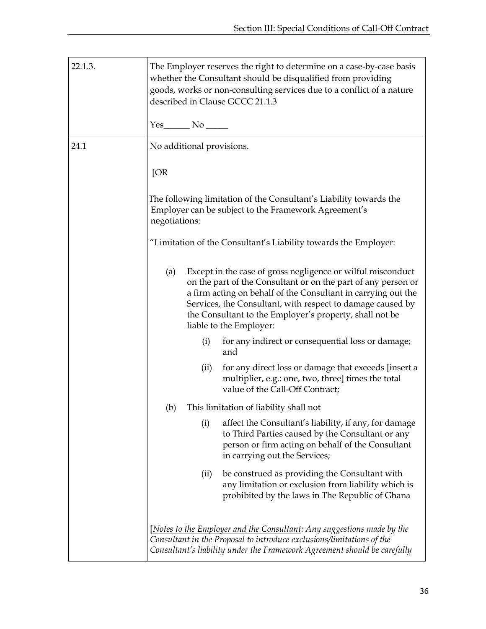| 22.1.3. | The Employer reserves the right to determine on a case-by-case basis<br>whether the Consultant should be disqualified from providing<br>goods, works or non-consulting services due to a conflict of a nature<br>described in Clause GCCC 21.1.3                                                                                                         |
|---------|----------------------------------------------------------------------------------------------------------------------------------------------------------------------------------------------------------------------------------------------------------------------------------------------------------------------------------------------------------|
|         |                                                                                                                                                                                                                                                                                                                                                          |
| 24.1    | No additional provisions.                                                                                                                                                                                                                                                                                                                                |
|         | [OR]                                                                                                                                                                                                                                                                                                                                                     |
|         | The following limitation of the Consultant's Liability towards the<br>Employer can be subject to the Framework Agreement's<br>negotiations:                                                                                                                                                                                                              |
|         | "Limitation of the Consultant's Liability towards the Employer:                                                                                                                                                                                                                                                                                          |
|         | Except in the case of gross negligence or wilful misconduct<br>(a)<br>on the part of the Consultant or on the part of any person or<br>a firm acting on behalf of the Consultant in carrying out the<br>Services, the Consultant, with respect to damage caused by<br>the Consultant to the Employer's property, shall not be<br>liable to the Employer: |
|         | for any indirect or consequential loss or damage;<br>(i)<br>and                                                                                                                                                                                                                                                                                          |
|         | for any direct loss or damage that exceeds [insert a<br>(ii)<br>multiplier, e.g.: one, two, three] times the total<br>value of the Call-Off Contract;                                                                                                                                                                                                    |
|         | This limitation of liability shall not<br>(b)                                                                                                                                                                                                                                                                                                            |
|         | (i)<br>affect the Consultant's liability, if any, for damage<br>to Third Parties caused by the Consultant or any<br>person or firm acting on behalf of the Consultant<br>in carrying out the Services;                                                                                                                                                   |
|         | be construed as providing the Consultant with<br>(ii)<br>any limitation or exclusion from liability which is<br>prohibited by the laws in The Republic of Ghana                                                                                                                                                                                          |
|         | [Notes to the Employer and the Consultant: Any suggestions made by the<br>Consultant in the Proposal to introduce exclusions/limitations of the<br>Consultant's liability under the Framework Agreement should be carefully                                                                                                                              |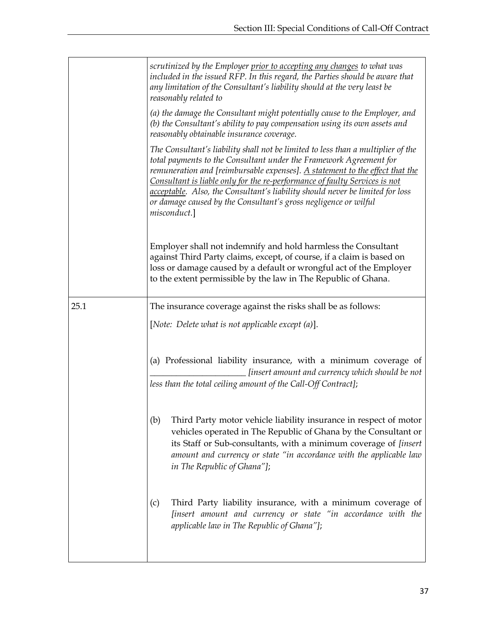|      | scrutinized by the Employer prior to accepting any changes to what was<br>included in the issued RFP. In this regard, the Parties should be aware that<br>any limitation of the Consultant's liability should at the very least be<br>reasonably related to                                                                                                                                                                                                                              |
|------|------------------------------------------------------------------------------------------------------------------------------------------------------------------------------------------------------------------------------------------------------------------------------------------------------------------------------------------------------------------------------------------------------------------------------------------------------------------------------------------|
|      | (a) the damage the Consultant might potentially cause to the Employer, and<br>(b) the Consultant's ability to pay compensation using its own assets and<br>reasonably obtainable insurance coverage.                                                                                                                                                                                                                                                                                     |
|      | The Consultant's liability shall not be limited to less than a multiplier of the<br>total payments to the Consultant under the Framework Agreement for<br>remuneration and [reimbursable expenses]. A statement to the effect that the<br>Consultant is liable only for the re-performance of faulty Services is not<br>acceptable. Also, the Consultant's liability should never be limited for loss<br>or damage caused by the Consultant's gross negligence or wilful<br>misconduct.] |
|      | Employer shall not indemnify and hold harmless the Consultant<br>against Third Party claims, except, of course, if a claim is based on<br>loss or damage caused by a default or wrongful act of the Employer<br>to the extent permissible by the law in The Republic of Ghana.                                                                                                                                                                                                           |
| 25.1 | The insurance coverage against the risks shall be as follows:                                                                                                                                                                                                                                                                                                                                                                                                                            |
|      | [Note: Delete what is not applicable except (a)].                                                                                                                                                                                                                                                                                                                                                                                                                                        |
|      | (a) Professional liability insurance, with a minimum coverage of<br>[insert amount and currency which should be not<br>less than the total ceiling amount of the Call-Off Contract];                                                                                                                                                                                                                                                                                                     |
|      | Third Party motor vehicle liability insurance in respect of motor<br>(b)<br>vehicles operated in The Republic of Ghana by the Consultant or<br>its Staff or Sub-consultants, with a minimum coverage of [insert<br>amount and currency or state "in accordance with the applicable law<br>in The Republic of Ghana"];                                                                                                                                                                    |
|      | Third Party liability insurance, with a minimum coverage of<br>(c)<br>[insert amount and currency or state "in accordance with the<br>applicable law in The Republic of Ghana"];                                                                                                                                                                                                                                                                                                         |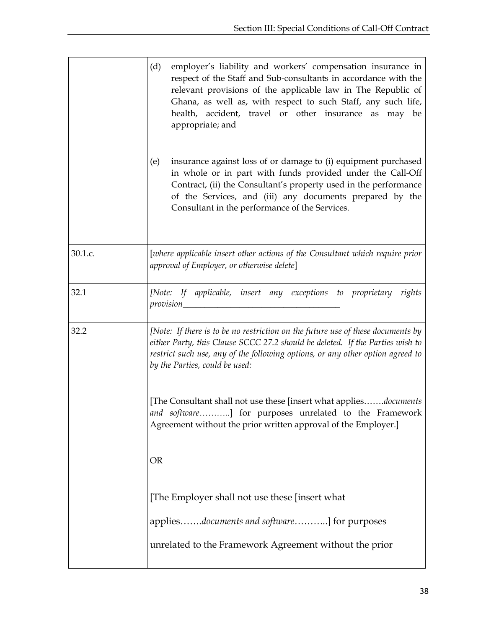|         | (d)<br>employer's liability and workers' compensation insurance in<br>respect of the Staff and Sub-consultants in accordance with the<br>relevant provisions of the applicable law in The Republic of<br>Ghana, as well as, with respect to such Staff, any such life,<br>health, accident, travel or other insurance as may be<br>appropriate; and<br>insurance against loss of or damage to (i) equipment purchased<br>(e) |  |  |  |  |  |  |
|---------|------------------------------------------------------------------------------------------------------------------------------------------------------------------------------------------------------------------------------------------------------------------------------------------------------------------------------------------------------------------------------------------------------------------------------|--|--|--|--|--|--|
|         | in whole or in part with funds provided under the Call-Off<br>Contract, (ii) the Consultant's property used in the performance<br>of the Services, and (iii) any documents prepared by the<br>Consultant in the performance of the Services.                                                                                                                                                                                 |  |  |  |  |  |  |
| 30.1.c. | [where applicable insert other actions of the Consultant which require prior<br>approval of Employer, or otherwise delete]                                                                                                                                                                                                                                                                                                   |  |  |  |  |  |  |
| 32.1    | [Note: If applicable, insert any exceptions to proprietary rights                                                                                                                                                                                                                                                                                                                                                            |  |  |  |  |  |  |
| 32.2    | [Note: If there is to be no restriction on the future use of these documents by<br>either Party, this Clause SCCC 27.2 should be deleted. If the Parties wish to<br>restrict such use, any of the following options, or any other option agreed to<br>by the Parties, could be used:                                                                                                                                         |  |  |  |  |  |  |
|         | [The Consultant shall not use these [insert what appliesdocuments]<br>and software] for purposes unrelated to the Framework<br>Agreement without the prior written approval of the Employer.]                                                                                                                                                                                                                                |  |  |  |  |  |  |
|         | <b>OR</b>                                                                                                                                                                                                                                                                                                                                                                                                                    |  |  |  |  |  |  |
|         | [The Employer shall not use these [insert what]                                                                                                                                                                                                                                                                                                                                                                              |  |  |  |  |  |  |
|         | appliesdocuments and software] for purposes                                                                                                                                                                                                                                                                                                                                                                                  |  |  |  |  |  |  |
|         | unrelated to the Framework Agreement without the prior                                                                                                                                                                                                                                                                                                                                                                       |  |  |  |  |  |  |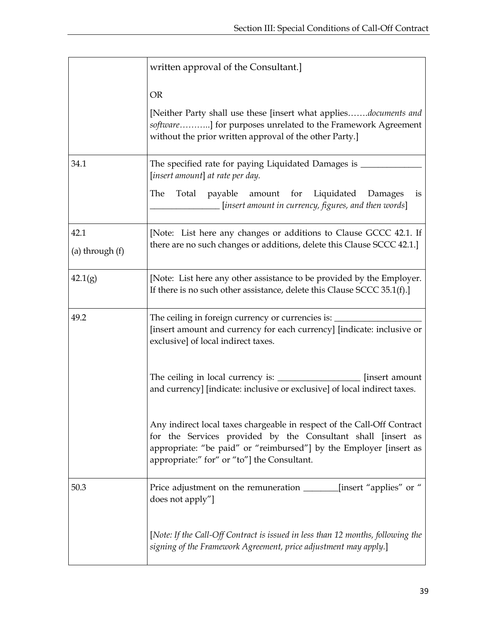|                 | written approval of the Consultant.]                                                                                                                                                                                                                         |  |  |  |  |  |  |
|-----------------|--------------------------------------------------------------------------------------------------------------------------------------------------------------------------------------------------------------------------------------------------------------|--|--|--|--|--|--|
|                 | <b>OR</b>                                                                                                                                                                                                                                                    |  |  |  |  |  |  |
|                 | [Neither Party shall use these [insert what appliesdocuments and<br>software] for purposes unrelated to the Framework Agreement<br>without the prior written approval of the other Party.]                                                                   |  |  |  |  |  |  |
| 34.1            | The specified rate for paying Liquidated Damages is _<br>[insert amount] at rate per day.                                                                                                                                                                    |  |  |  |  |  |  |
|                 | The<br>Total payable amount for Liquidated<br>Damages<br>is<br>[insert amount in currency, figures, and then words]                                                                                                                                          |  |  |  |  |  |  |
| 42.1            | [Note: List here any changes or additions to Clause GCCC 42.1. If<br>there are no such changes or additions, delete this Clause SCCC 42.1.]                                                                                                                  |  |  |  |  |  |  |
| (a) through (f) |                                                                                                                                                                                                                                                              |  |  |  |  |  |  |
| 42.1(g)         | [Note: List here any other assistance to be provided by the Employer.<br>If there is no such other assistance, delete this Clause SCCC $35.1(f)$ .]                                                                                                          |  |  |  |  |  |  |
| 49.2            | The ceiling in foreign currency or currencies is:<br>[insert amount and currency for each currency] [indicate: inclusive or<br>exclusive] of local indirect taxes.                                                                                           |  |  |  |  |  |  |
|                 | [insert amount]<br>and currency] [indicate: inclusive or exclusive] of local indirect taxes.                                                                                                                                                                 |  |  |  |  |  |  |
|                 | Any indirect local taxes chargeable in respect of the Call-Off Contract<br>for the Services provided by the Consultant shall [insert as<br>appropriate: "be paid" or "reimbursed"] by the Employer [insert as<br>appropriate:" for" or "to"] the Consultant. |  |  |  |  |  |  |
| 50.3            | Price adjustment on the remuneration ________[insert "applies" or "<br>does not apply"]                                                                                                                                                                      |  |  |  |  |  |  |
|                 | [Note: If the Call-Off Contract is issued in less than 12 months, following the<br>signing of the Framework Agreement, price adjustment may apply.]                                                                                                          |  |  |  |  |  |  |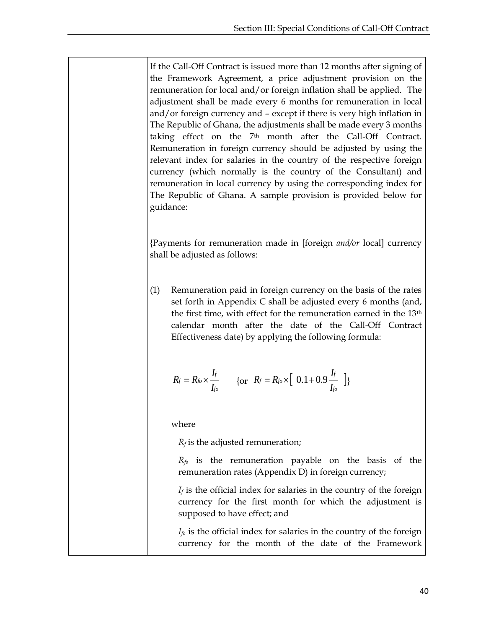If the Call-Off Contract is issued more than 12 months after signing of the Framework Agreement, a price adjustment provision on the remuneration for local and/or foreign inflation shall be applied. The adjustment shall be made every 6 months for remuneration in local and/or foreign currency and – except if there is very high inflation in The Republic of Ghana, the adjustments shall be made every 3 months taking effect on the 7th month after the Call-Off Contract. Remuneration in foreign currency should be adjusted by using the relevant index for salaries in the country of the respective foreign currency (which normally is the country of the Consultant) and remuneration in local currency by using the corresponding index for The Republic of Ghana. A sample provision is provided below for guidance:

{Payments for remuneration made in [foreign *and/or* local] currency shall be adjusted as follows:

(1) Remuneration paid in foreign currency on the basis of the rates set forth in Appendix C shall be adjusted every 6 months (and, the first time, with effect for the remuneration earned in the 13th calendar month after the date of the Call-Off Contract Effectiveness date) by applying the following formula:

$$
R_f = R_{fo} \times \frac{I_f}{I_{fo}} \qquad \{\text{or} \ \ R_f = R_{fo} \times \left[ \ \ 0.1 + 0.9 \frac{I_f}{I_{fo}} \ \ \right] \}
$$

where

 $R_f$  is the adjusted remuneration;

*Rfo* is the remuneration payable on the basis of the remuneration rates (Appendix D) in foreign currency;

 $I_f$  is the official index for salaries in the country of the foreign currency for the first month for which the adjustment is supposed to have effect; and

 $I_f$ <sup>o</sup> is the official index for salaries in the country of the foreign currency for the month of the date of the Framework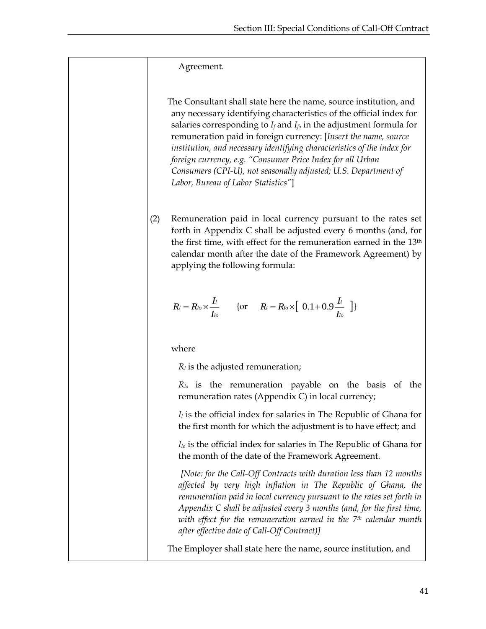Agreement.

 The Consultant shall state here the name, source institution, and any necessary identifying characteristics of the official index for salaries corresponding to  $I_f$  and  $I_f$  in the adjustment formula for remuneration paid in foreign currency: [*Insert the name, source institution, and necessary identifying characteristics of the index for foreign currency, e.g. "Consumer Price Index for all Urban Consumers (CPI-U), not seasonally adjusted; U.S. Department of Labor, Bureau of Labor Statistics"*]

(2) Remuneration paid in local currency pursuant to the rates set forth in Appendix C shall be adjusted every 6 months (and, for the first time, with effect for the remuneration earned in the 13th calendar month after the date of the Framework Agreement) by applying the following formula:

$$
R_l = R_{l_o} \times \frac{I_l}{I_{l_o}} \qquad \{\text{or} \qquad R_l = R_{l_o} \times \left[ \begin{array}{c} 0.1 + 0.9 \frac{I_l}{I_{l_o}} \end{array} \right] \}
$$

where

*R<sup>l</sup>* is the adjusted remuneration;

*Rlo* is the remuneration payable on the basis of the remuneration rates (Appendix C) in local currency;

*I<sup>l</sup>* is the official index for salaries in The Republic of Ghana for the first month for which the adjustment is to have effect; and

*Ilo* is the official index for salaries in The Republic of Ghana for the month of the date of the Framework Agreement.

*[Note: for the Call-Off Contracts with duration less than 12 months affected by very high inflation in The Republic of Ghana, the remuneration paid in local currency pursuant to the rates set forth in Appendix C shall be adjusted every 3 months (and, for the first time, with effect for the remuneration earned in the 7th calendar month after effective date of Call-Off Contract)]*

The Employer shall state here the name, source institution, and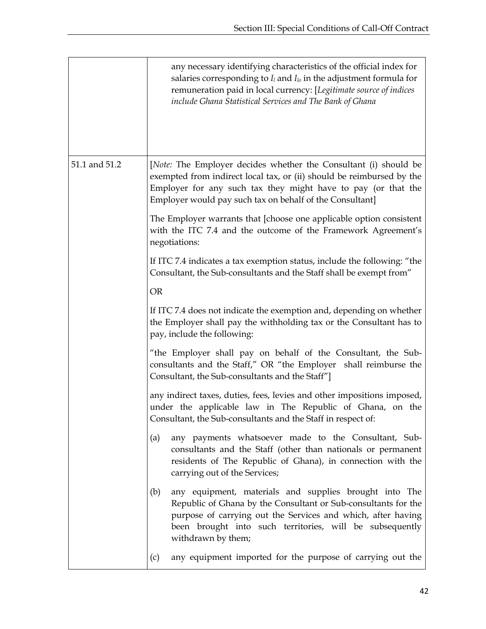|               | any necessary identifying characteristics of the official index for<br>salaries corresponding to $I_l$ and $I_{lo}$ in the adjustment formula for<br>remuneration paid in local currency: [Legitimate source of indices<br>include Ghana Statistical Services and The Bank of Ghana |  |  |  |  |  |
|---------------|-------------------------------------------------------------------------------------------------------------------------------------------------------------------------------------------------------------------------------------------------------------------------------------|--|--|--|--|--|
| 51.1 and 51.2 | [Note: The Employer decides whether the Consultant (i) should be<br>exempted from indirect local tax, or (ii) should be reimbursed by the<br>Employer for any such tax they might have to pay (or that the<br>Employer would pay such tax on behalf of the Consultant]              |  |  |  |  |  |
|               | The Employer warrants that [choose one applicable option consistent<br>with the ITC 7.4 and the outcome of the Framework Agreement's<br>negotiations:                                                                                                                               |  |  |  |  |  |
|               | If ITC 7.4 indicates a tax exemption status, include the following: "the<br>Consultant, the Sub-consultants and the Staff shall be exempt from"                                                                                                                                     |  |  |  |  |  |
|               | <b>OR</b>                                                                                                                                                                                                                                                                           |  |  |  |  |  |
|               | If ITC 7.4 does not indicate the exemption and, depending on whether<br>the Employer shall pay the withholding tax or the Consultant has to<br>pay, include the following:                                                                                                          |  |  |  |  |  |
|               | "the Employer shall pay on behalf of the Consultant, the Sub-<br>consultants and the Staff," OR "the Employer shall reimburse the<br>Consultant, the Sub-consultants and the Staff"]                                                                                                |  |  |  |  |  |
|               | any indirect taxes, duties, fees, levies and other impositions imposed,<br>under the applicable law in The Republic of Ghana, on the<br>Consultant, the Sub-consultants and the Staff in respect of:                                                                                |  |  |  |  |  |
|               | any payments whatsoever made to the Consultant, Sub-<br>(a)<br>consultants and the Staff (other than nationals or permanent<br>residents of The Republic of Ghana), in connection with the<br>carrying out of the Services;                                                         |  |  |  |  |  |
|               | any equipment, materials and supplies brought into The<br>(b)<br>Republic of Ghana by the Consultant or Sub-consultants for the<br>purpose of carrying out the Services and which, after having<br>been brought into such territories, will be subsequently<br>withdrawn by them;   |  |  |  |  |  |
|               | any equipment imported for the purpose of carrying out the<br>(c)                                                                                                                                                                                                                   |  |  |  |  |  |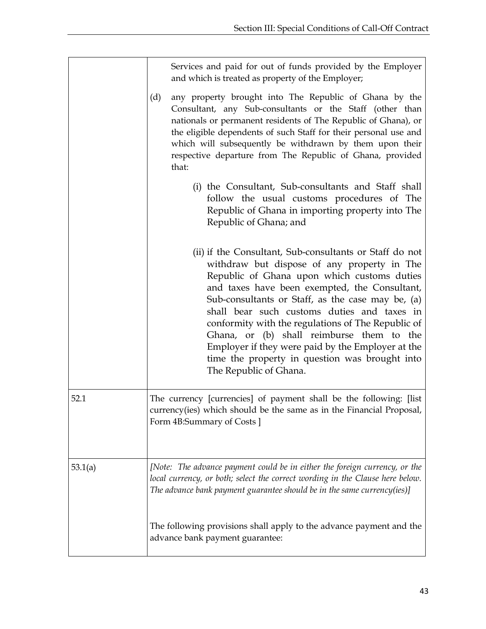|         | Services and paid for out of funds provided by the Employer<br>and which is treated as property of the Employer;                                                                                                                                                                                                                                                                                                                                                                                                                               |  |  |  |  |  |  |
|---------|------------------------------------------------------------------------------------------------------------------------------------------------------------------------------------------------------------------------------------------------------------------------------------------------------------------------------------------------------------------------------------------------------------------------------------------------------------------------------------------------------------------------------------------------|--|--|--|--|--|--|
|         | any property brought into The Republic of Ghana by the<br>(d)<br>Consultant, any Sub-consultants or the Staff (other than<br>nationals or permanent residents of The Republic of Ghana), or<br>the eligible dependents of such Staff for their personal use and<br>which will subsequently be withdrawn by them upon their<br>respective departure from The Republic of Ghana, provided<br>that:                                                                                                                                               |  |  |  |  |  |  |
|         | (i) the Consultant, Sub-consultants and Staff shall<br>follow the usual customs procedures of The<br>Republic of Ghana in importing property into The<br>Republic of Ghana; and                                                                                                                                                                                                                                                                                                                                                                |  |  |  |  |  |  |
|         | (ii) if the Consultant, Sub-consultants or Staff do not<br>withdraw but dispose of any property in The<br>Republic of Ghana upon which customs duties<br>and taxes have been exempted, the Consultant,<br>Sub-consultants or Staff, as the case may be, (a)<br>shall bear such customs duties and taxes in<br>conformity with the regulations of The Republic of<br>Ghana, or (b) shall reimburse them to the<br>Employer if they were paid by the Employer at the<br>time the property in question was brought into<br>The Republic of Ghana. |  |  |  |  |  |  |
| 52.1    | The currency [currencies] of payment shall be the following: [list]<br>currency(ies) which should be the same as in the Financial Proposal,<br>Form 4B:Summary of Costs ]                                                                                                                                                                                                                                                                                                                                                                      |  |  |  |  |  |  |
| 53.1(a) | [Note: The advance payment could be in either the foreign currency, or the<br>local currency, or both; select the correct wording in the Clause here below.<br>The advance bank payment guarantee should be in the same currency(ies)]                                                                                                                                                                                                                                                                                                         |  |  |  |  |  |  |
|         | The following provisions shall apply to the advance payment and the<br>advance bank payment guarantee:                                                                                                                                                                                                                                                                                                                                                                                                                                         |  |  |  |  |  |  |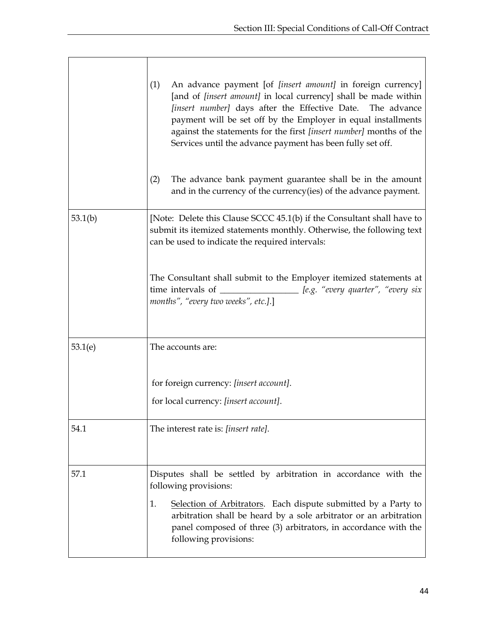|         | An advance payment [of <i>[insert amount]</i> in foreign currency]<br>(1)<br>[and of <i>[insert amount]</i> in local currency] shall be made within<br>[insert number] days after the Effective Date. The advance<br>payment will be set off by the Employer in equal installments<br>against the statements for the first [insert number] months of the<br>Services until the advance payment has been fully set off.<br>The advance bank payment guarantee shall be in the amount<br>(2)<br>and in the currency of the currency (ies) of the advance payment. |
|---------|-----------------------------------------------------------------------------------------------------------------------------------------------------------------------------------------------------------------------------------------------------------------------------------------------------------------------------------------------------------------------------------------------------------------------------------------------------------------------------------------------------------------------------------------------------------------|
| 53.1(b) | [Note: Delete this Clause SCCC 45.1(b) if the Consultant shall have to<br>submit its itemized statements monthly. Otherwise, the following text<br>can be used to indicate the required intervals:                                                                                                                                                                                                                                                                                                                                                              |
|         | The Consultant shall submit to the Employer itemized statements at<br>time intervals of _________________ [e.g. "every quarter", "every six<br>months", "every two weeks", etc.].]                                                                                                                                                                                                                                                                                                                                                                              |
| 53.1(e) | The accounts are:                                                                                                                                                                                                                                                                                                                                                                                                                                                                                                                                               |
|         | for foreign currency: [insert account].<br>for local currency: [insert account].                                                                                                                                                                                                                                                                                                                                                                                                                                                                                |
| 54.1    | The interest rate is: [insert rate].                                                                                                                                                                                                                                                                                                                                                                                                                                                                                                                            |
| 57.1    | Disputes shall be settled by arbitration in accordance with the<br>following provisions:<br>Selection of Arbitrators. Each dispute submitted by a Party to<br>1.<br>arbitration shall be heard by a sole arbitrator or an arbitration<br>panel composed of three (3) arbitrators, in accordance with the<br>following provisions:                                                                                                                                                                                                                               |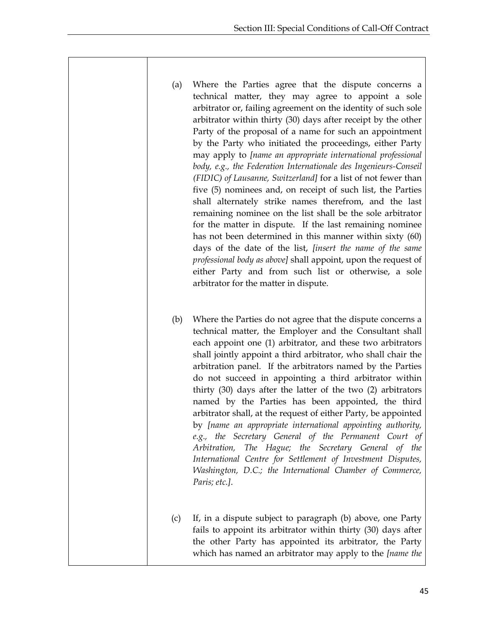- (a) Where the Parties agree that the dispute concerns a technical matter, they may agree to appoint a sole arbitrator or, failing agreement on the identity of such sole arbitrator within thirty (30) days after receipt by the other Party of the proposal of a name for such an appointment by the Party who initiated the proceedings, either Party may apply to *[name an appropriate international professional body, e.g., the Federation Internationale des Ingenieurs-Conseil (FIDIC) of Lausanne, Switzerland]* for a list of not fewer than five (5) nominees and, on receipt of such list, the Parties shall alternately strike names therefrom, and the last remaining nominee on the list shall be the sole arbitrator for the matter in dispute. If the last remaining nominee has not been determined in this manner within sixty (60) days of the date of the list, *[insert the name of the same professional body as above]* shall appoint, upon the request of either Party and from such list or otherwise, a sole arbitrator for the matter in dispute.
- (b) Where the Parties do not agree that the dispute concerns a technical matter, the Employer and the Consultant shall each appoint one (1) arbitrator, and these two arbitrators shall jointly appoint a third arbitrator, who shall chair the arbitration panel. If the arbitrators named by the Parties do not succeed in appointing a third arbitrator within thirty (30) days after the latter of the two (2) arbitrators named by the Parties has been appointed, the third arbitrator shall, at the request of either Party, be appointed by *[name an appropriate international appointing authority, e.g., the Secretary General of the Permanent Court of Arbitration, The Hague; the Secretary General of the International Centre for Settlement of Investment Disputes, Washington, D.C.; the International Chamber of Commerce, Paris; etc.]*.
- (c) If, in a dispute subject to paragraph (b) above, one Party fails to appoint its arbitrator within thirty (30) days after the other Party has appointed its arbitrator, the Party which has named an arbitrator may apply to the *[name the*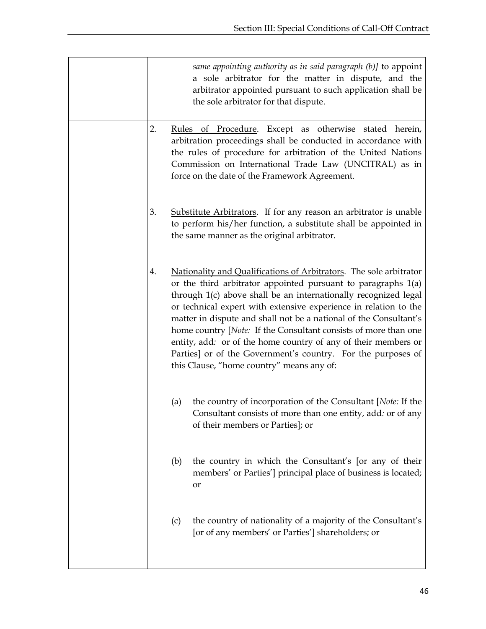| same appointing authority as in said paragraph $(b)$ ] to appoint<br>a sole arbitrator for the matter in dispute, and the<br>arbitrator appointed pursuant to such application shall be<br>the sole arbitrator for that dispute. |                                                                                                                                                                                                                                                                                                                                                                                                                                                                                                                                                                                                     |  |  |  |  |  |
|----------------------------------------------------------------------------------------------------------------------------------------------------------------------------------------------------------------------------------|-----------------------------------------------------------------------------------------------------------------------------------------------------------------------------------------------------------------------------------------------------------------------------------------------------------------------------------------------------------------------------------------------------------------------------------------------------------------------------------------------------------------------------------------------------------------------------------------------------|--|--|--|--|--|
| 2.                                                                                                                                                                                                                               | Rules of Procedure. Except as otherwise stated herein,<br>arbitration proceedings shall be conducted in accordance with<br>the rules of procedure for arbitration of the United Nations<br>Commission on International Trade Law (UNCITRAL) as in<br>force on the date of the Framework Agreement.                                                                                                                                                                                                                                                                                                  |  |  |  |  |  |
| 3.                                                                                                                                                                                                                               | Substitute Arbitrators. If for any reason an arbitrator is unable<br>to perform his/her function, a substitute shall be appointed in<br>the same manner as the original arbitrator.                                                                                                                                                                                                                                                                                                                                                                                                                 |  |  |  |  |  |
| 4.                                                                                                                                                                                                                               | Nationality and Qualifications of Arbitrators. The sole arbitrator<br>or the third arbitrator appointed pursuant to paragraphs $1(a)$<br>through 1(c) above shall be an internationally recognized legal<br>or technical expert with extensive experience in relation to the<br>matter in dispute and shall not be a national of the Consultant's<br>home country [Note: If the Consultant consists of more than one<br>entity, add: or of the home country of any of their members or<br>Parties] or of the Government's country. For the purposes of<br>this Clause, "home country" means any of: |  |  |  |  |  |
| (a)                                                                                                                                                                                                                              | the country of incorporation of the Consultant [Note: If the<br>Consultant consists of more than one entity, add: or of any<br>of their members or Parties]; or                                                                                                                                                                                                                                                                                                                                                                                                                                     |  |  |  |  |  |
| (b)                                                                                                                                                                                                                              | the country in which the Consultant's [or any of their<br>members' or Parties'] principal place of business is located;<br>or                                                                                                                                                                                                                                                                                                                                                                                                                                                                       |  |  |  |  |  |
| (c)                                                                                                                                                                                                                              | the country of nationality of a majority of the Consultant's<br>[or of any members' or Parties'] shareholders; or                                                                                                                                                                                                                                                                                                                                                                                                                                                                                   |  |  |  |  |  |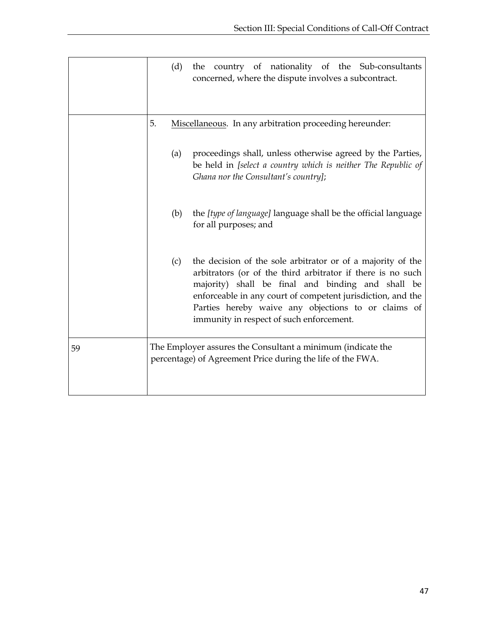|    | the country of nationality of the Sub-consultants<br>(d)<br>concerned, where the dispute involves a subcontract.                                                                                                                                                                                                                                         |
|----|----------------------------------------------------------------------------------------------------------------------------------------------------------------------------------------------------------------------------------------------------------------------------------------------------------------------------------------------------------|
|    | 5.<br>Miscellaneous. In any arbitration proceeding hereunder:                                                                                                                                                                                                                                                                                            |
|    | proceedings shall, unless otherwise agreed by the Parties,<br>(a)<br>be held in [select a country which is neither The Republic of<br>Ghana nor the Consultant's country];                                                                                                                                                                               |
|    | the <i>[type of language]</i> language shall be the official language<br>(b)<br>for all purposes; and                                                                                                                                                                                                                                                    |
|    | the decision of the sole arbitrator or of a majority of the<br>(c)<br>arbitrators (or of the third arbitrator if there is no such<br>majority) shall be final and binding and shall be<br>enforceable in any court of competent jurisdiction, and the<br>Parties hereby waive any objections to or claims of<br>immunity in respect of such enforcement. |
| 59 | The Employer assures the Consultant a minimum (indicate the<br>percentage) of Agreement Price during the life of the FWA.                                                                                                                                                                                                                                |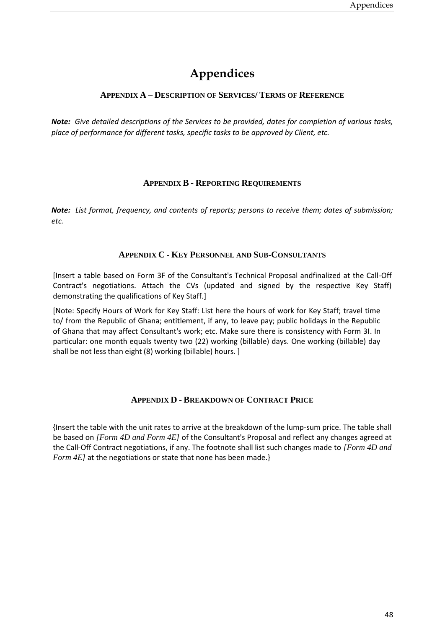## **Appendices**

#### <span id="page-51-1"></span><span id="page-51-0"></span>**APPENDIX A – DESCRIPTION OF SERVICES/ TERMS OF REFERENCE**

<span id="page-51-2"></span>*Note: Give detailed descriptions of the Services to be provided, dates for completion of various tasks, place of performance for different tasks, specific tasks to be approved by Client, etc.*

#### **APPENDIX B - REPORTING REQUIREMENTS**

<span id="page-51-3"></span>*Note: List format, frequency, and contents of reports; persons to receive them; dates of submission; etc.* 

#### **APPENDIX C - KEY PERSONNEL AND SUB-CONSULTANTS**

Contract's negotiations. Attach the CVs (updated and signed by the respective Key Staff) [Insert a table based on Form 3F of the Consultant's Technical Proposal andfinalized at the Call-Off demonstrating the qualifications of Key Staff.]

<span id="page-51-4"></span>[Note: Specify Hours of Work for Key Staff: List here the hours of work for Key Staff; travel time to/ from the Republic of Ghana; entitlement, if any, to leave pay; public holidays in the Republic of Ghana that may affect Consultant's work; etc. Make sure there is consistency with Form 3I. In particular: one month equals twenty two (22) working (billable) days. One working (billable) day shall be not less than eight (8) working (billable) hours. ]

#### **APPENDIX D - BREAKDOWN OF CONTRACT PRICE**

{Insert the table with the unit rates to arrive at the breakdown of the lump-sum price. The table shall be based on *[Form 4D and Form 4E]* of the Consultant's Proposal and reflect any changes agreed at the Call-Off Contract negotiations, if any. The footnote shall list such changes made to *[Form 4D and Form 4E]* at the negotiations or state that none has been made.}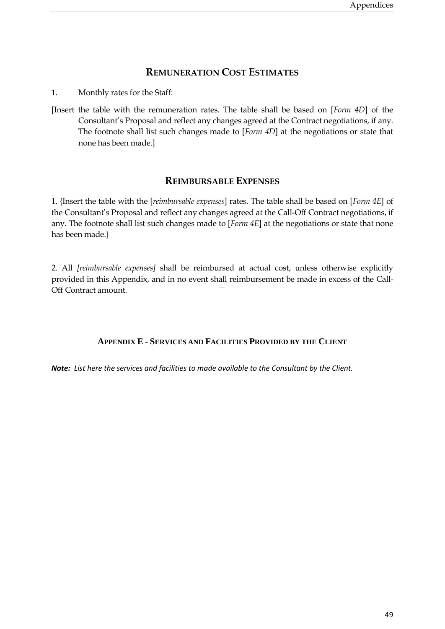#### **REMUNERATION COST ESTIMATES**

<span id="page-52-0"></span>1. Monthly rates for the Staff:

<span id="page-52-1"></span>[Insert the table with the remuneration rates. The table shall be based on [*Form 4D*] of the Consultant's Proposal and reflect any changes agreed at the Contract negotiations, if any. The footnote shall list such changes made to [*Form 4D*] at the negotiations or state that none has been made.]

#### **REIMBURSABLE EXPENSES**

1. {Insert the table with the [*reimbursable expenses*] rates. The table shall be based on [*Form 4E*] of the Consultant's Proposal and reflect any changes agreed at the Call-Off Contract negotiations, if any. The footnote shall list such changes made to [*Form 4E*] at the negotiations or state that none has been made.}

<span id="page-52-2"></span>2. All *[reimbursable expenses]* shall be reimbursed at actual cost, unless otherwise explicitly provided in this Appendix, and in no event shall reimbursement be made in excess of the Call-Off Contract amount.

#### **APPENDIX E - SERVICES AND FACILITIES PROVIDED BY THE CLIENT**

*Note: List here the services and facilities to made available to the Consultant by the Client.*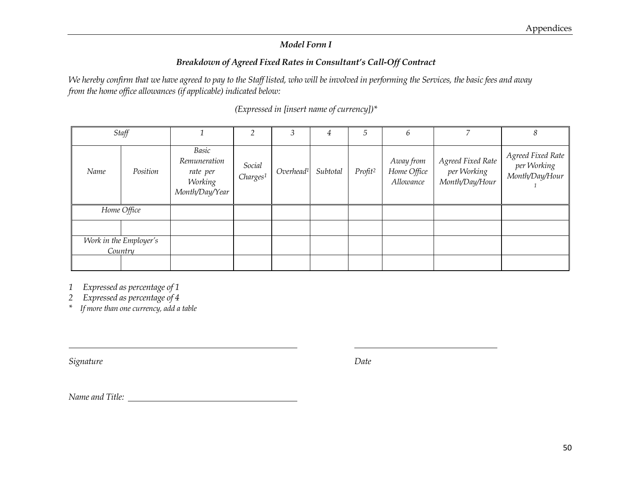#### *Model Form I*

#### *Breakdown of Agreed Fixed Rates in Consultant's Call-Off Contract*

*We hereby confirm that we have agreed to pay to the Staff listed, who will be involved in performing the Services, the basic fees and away from the home office allowances (if applicable) indicated below:*

|      | Staff                             |                                                                |                                | 3                     | 4        | 5                   | 6                                     |                                                    | 8                                                  |
|------|-----------------------------------|----------------------------------------------------------------|--------------------------------|-----------------------|----------|---------------------|---------------------------------------|----------------------------------------------------|----------------------------------------------------|
| Name | Position                          | Basic<br>Remuneration<br>rate per<br>Working<br>Month/Day/Year | Social<br>Charges <sup>1</sup> | Overhead <sup>1</sup> | Subtotal | Profit <sup>2</sup> | Away from<br>Home Office<br>Allowance | Agreed Fixed Rate<br>per Working<br>Month/Day/Hour | Agreed Fixed Rate<br>per Working<br>Month/Day/Hour |
|      | Home Office                       |                                                                |                                |                       |          |                     |                                       |                                                    |                                                    |
|      |                                   |                                                                |                                |                       |          |                     |                                       |                                                    |                                                    |
|      | Work in the Employer's<br>Country |                                                                |                                |                       |          |                     |                                       |                                                    |                                                    |
|      |                                   |                                                                |                                |                       |          |                     |                                       |                                                    |                                                    |

*(Expressed in [insert name of currency])\**

*1 Expressed as percentage of 1*

*2 Expressed as percentage of 4*

*\* If more than one currency, add a table*

*Signature Date*

*Name and Title:*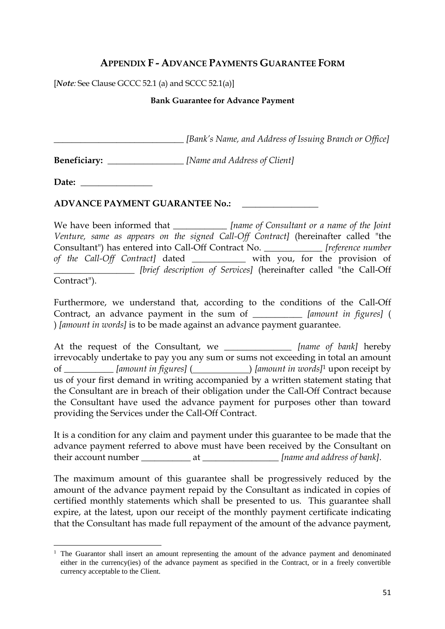#### **APPENDIX F - ADVANCE PAYMENTS GUARANTEE FORM**

<span id="page-54-0"></span>[*Note:* See Clause GCCC 52.1 (a) and SCCC 52.1(a)]

#### **Bank Guarantee for Advance Payment**

*\_\_\_\_\_\_\_\_\_\_\_\_\_\_\_\_\_\_\_\_\_\_\_\_\_\_\_\_\_ [Bank's Name, and Address of Issuing Branch or Office]*

**Beneficiary:** *<i>Mame and Address of Client*]

Date:

**ADVANCE PAYMENT GUARANTEE No.:** \_\_\_\_\_\_\_\_\_\_\_\_\_\_\_\_\_

We have been informed that *\_\_\_\_\_\_\_\_\_\_ [name of Consultant or a name of the Joint Venture, same as appears on the signed Call-Off Contract]* (hereinafter called "the Consultant") has entered into Call-Off Contract No. \_\_\_\_\_\_\_\_\_\_\_\_\_ *[reference number of the Call-Off Contract]* dated \_\_\_\_\_\_\_\_\_\_\_\_ with you, for the provision of \_\_\_\_\_\_\_\_\_\_\_\_\_\_\_\_\_\_ *[brief description of Services]* (hereinafter called "the Call-Off

Contract").

 $\overline{a}$ 

Furthermore, we understand that, according to the conditions of the Call-Off Contract, an advance payment in the sum of \_\_\_\_\_\_\_\_\_\_\_ *[amount in figures]* ( ) *[amount in words]* is to be made against an advance payment guarantee.

At the request of the Consultant, we \_\_\_\_\_\_\_\_\_\_\_\_\_\_\_ *[name of bank]* hereby irrevocably undertake to pay you any sum or sums not exceeding in total an amount of \_\_\_\_\_\_\_\_\_\_\_ *[amount in figures]* ( ) *[amount in words]*<sup>1</sup> upon receipt by us of your first demand in writing accompanied by a written statement stating that the Consultant are in breach of their obligation under the Call-Off Contract because the Consultant have used the advance payment for purposes other than toward providing the Services under the Call-Off Contract.

It is a condition for any claim and payment under this guarantee to be made that the advance payment referred to above must have been received by the Consultant on their account number \_\_\_\_\_\_\_\_\_\_\_\_\_ at \_\_\_\_\_\_\_\_\_\_\_\_\_\_\_\_\_\_\_*[name and address of bank]*.

The maximum amount of this guarantee shall be progressively reduced by the amount of the advance payment repaid by the Consultant as indicated in copies of certified monthly statements which shall be presented to us. This guarantee shall expire, at the latest, upon our receipt of the monthly payment certificate indicating that the Consultant has made full repayment of the amount of the advance payment,

 $<sup>1</sup>$  The Guarantor shall insert an amount representing the amount of the advance payment and denominated</sup> either in the currency(ies) of the advance payment as specified in the Contract, or in a freely convertible currency acceptable to the Client.